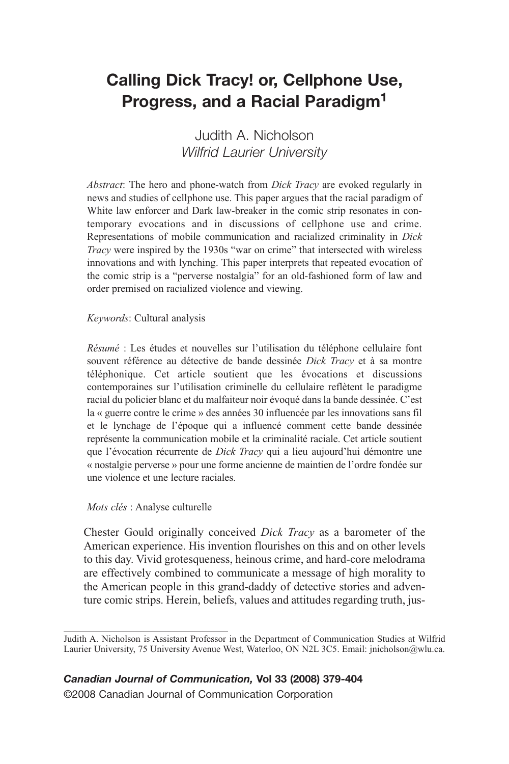# **Calling Dick Tracy! or, Cellphone Use, Progress, and a Racial Paradigm1**

# Judith A. Nicholson *Wilfrid Laurier University*

*Abstract*: The hero and phone-watch from *Dick Tracy* are evoked regularly in news and studies of cellphone use. This paper argues that the racial paradigm of White law enforcer and Dark law-breaker in the comic strip resonates in contemporary evocations and in discussions of cellphone use and crime. Representations of mobile communication and racialized criminality in *Dick Tracy* were inspired by the 1930s "war on crime" that intersected with wireless innovations and with lynching. This paper interprets that repeated evocation of the comic strip is a "perverse nostalgia" for an old-fashioned form of law and order premised on racialized violence and viewing.

#### *Keywords*: Cultural analysis

*Résumé* : Les études et nouvelles sur l'utilisation du téléphone cellulaire font souvent référence au détective de bande dessinée *Dick Tracy* et à sa montre téléphonique. Cet article soutient que les évocations et discussions contemporaines sur l'utilisation criminelle du cellulaire reflètent le paradigme racial du policier blanc et du malfaiteur noir évoqué dans la bande dessinée. C'est la « guerre contre le crime » des années 30 influencée par les innovations sans fil et le lynchage de l'époque qui a influencé comment cette bande dessinée représente la communication mobile et la criminalité raciale. Cet article soutient que l'évocation récurrente de *Dick Tracy* qui a lieu aujourd'hui démontre une « nostalgie perverse » pour une forme ancienne de maintien de l'ordre fondée sur une violence et une lecture raciales.

#### *Mots clés* : Analyse culturelle

Chester Gould originally conceived *Dick Tracy* as a barometer of the American experience. His invention flourishes on this and on other levels to this day. Vivid grotesqueness, heinous crime, and hard-core melodrama are effectively combined to communicate a message of high morality to the American people in this grand-daddy of detective stories and adventure comic strips. Herein, beliefs, values and attitudes regarding truth, jus-

Judith A. Nicholson is Assistant Professor in the Department of Communication Studies at Wilfrid Laurier University, 75 University Avenue West, Waterloo, ON N2L 3C5. Email: jnicholson@wlu.ca.

# *Canadian Journal of Communication,* **Vol 33 (2008) 379-404**

©2008 Canadian Journal of Communication Corporation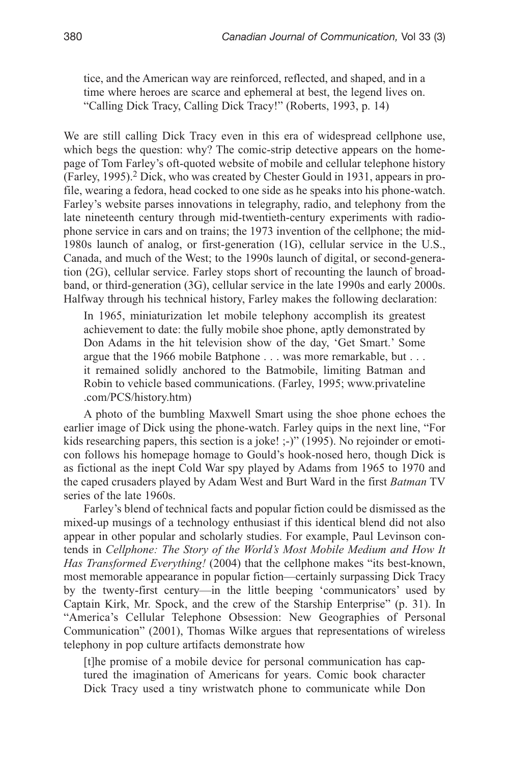tice, and the American way are reinforced, reflected, and shaped, and in a time where heroes are scarce and ephemeral at best, the legend lives on. "Calling Dick Tracy, Calling Dick Tracy!" (Roberts, 1993, p. 14)

We are still calling Dick Tracy even in this era of widespread cellphone use, which begs the question: why? The comic-strip detective appears on the homepage of Tom Farley's oft-quoted website of mobile and cellular telephone history (Farley, 1995).2 Dick, who was created by Chester Gould in 1931, appears in profile, wearing a fedora, head cocked to one side as he speaks into his phone-watch. Farley's website parses innovations in telegraphy, radio, and telephony from the late nineteenth century through mid-twentieth-century experiments with radiophone service in cars and on trains; the 1973 invention of the cellphone; the mid-1980s launch of analog, or first-generation (1G), cellular service in the U.S., Canada, and much of the West; to the 1990s launch of digital, or second-generation (2G), cellular service. Farley stops short of recounting the launch of broadband, or third-generation (3G), cellular service in the late 1990s and early 2000s. Halfway through his technical history, Farley makes the following declaration:

In 1965, miniaturization let mobile telephony accomplish its greatest achievement to date: the fully mobile shoe phone, aptly demonstrated by Don Adams in the hit television show of the day, 'Get Smart.' Some argue that the 1966 mobile Batphone . . . was more remarkable, but . . . it remained solidly anchored to the Batmobile, limiting Batman and Robin to vehicle based communications. (Farley, 1995; www.privateline .com/PCS/history.htm)

A photo of the bumbling Maxwell Smart using the shoe phone echoes the earlier image of Dick using the phone-watch. Farley quips in the next line, "For kids researching papers, this section is a joke! ;-)" (1995). No rejoinder or emoticon follows his homepage homage to Gould's hook-nosed hero, though Dick is as fictional as the inept Cold War spy played by Adams from 1965 to 1970 and the caped crusaders played by Adam West and Burt Ward in the first *Batman* TV series of the late 1960s.

Farley's blend of technical facts and popular fiction could be dismissed as the mixed-up musings of a technology enthusiast if this identical blend did not also appear in other popular and scholarly studies. For example, Paul Levinson contends in *Cellphone: The Story of the World's Most Mobile Medium and How It Has Transformed Everything!* (2004) that the cellphone makes "its best-known, most memorable appearance in popular fiction—certainly surpassing Dick Tracy by the twenty-first century—in the little beeping 'communicators' used by Captain Kirk, Mr. Spock, and the crew of the Starship Enterprise" (p. 31). In "America's Cellular Telephone Obsession: New Geographies of Personal Communication" (2001), Thomas Wilke argues that representations of wireless telephony in pop culture artifacts demonstrate how

[t]he promise of a mobile device for personal communication has captured the imagination of Americans for years. Comic book character Dick Tracy used a tiny wristwatch phone to communicate while Don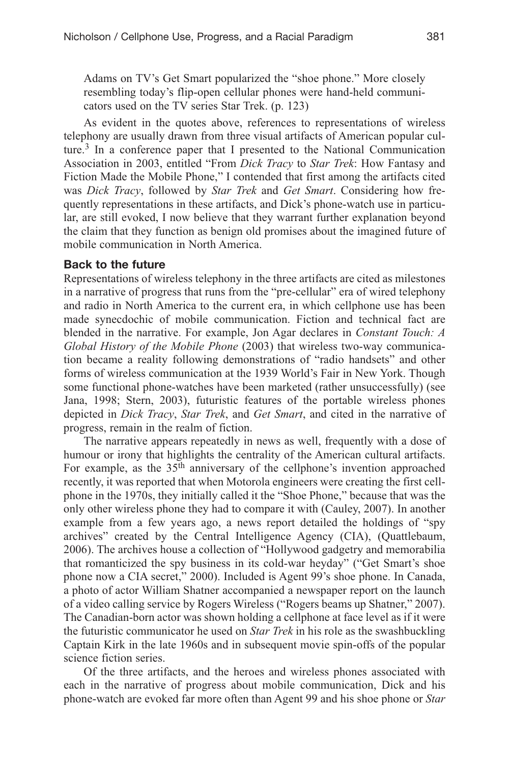Adams on TV's Get Smart popularized the "shoe phone." More closely resembling today's flip-open cellular phones were hand-held communicators used on the TV series Star Trek. (p. 123)

As evident in the quotes above, references to representations of wireless telephony are usually drawn from three visual artifacts of American popular culture.<sup>3</sup> In a conference paper that I presented to the National Communication Association in 2003, entitled "From *Dick Tracy* to *Star Trek*: How Fantasy and Fiction Made the Mobile Phone," I contended that first among the artifacts cited was *Dick Tracy*, followed by *Star Trek* and *Get Smart*. Considering how frequently representations in these artifacts, and Dick's phone-watch use in particular, are still evoked, I now believe that they warrant further explanation beyond the claim that they function as benign old promises about the imagined future of mobile communication in North America.

#### **Back to the future**

Representations of wireless telephony in the three artifacts are cited as milestones in a narrative of progress that runs from the "pre-cellular" era of wired telephony and radio in North America to the current era, in which cellphone use has been made synecdochic of mobile communication. Fiction and technical fact are blended in the narrative. For example, Jon Agar declares in *Constant Touch: A Global History of the Mobile Phone* (2003) that wireless two-way communication became a reality following demonstrations of "radio handsets" and other forms of wireless communication at the 1939 World's Fair in New York. Though some functional phone-watches have been marketed (rather unsuccessfully) (see Jana, 1998; Stern, 2003), futuristic features of the portable wireless phones depicted in *Dick Tracy*, *Star Trek*, and *Get Smart*, and cited in the narrative of progress, remain in the realm of fiction.

The narrative appears repeatedly in news as well, frequently with a dose of humour or irony that highlights the centrality of the American cultural artifacts. For example, as the 35<sup>th</sup> anniversary of the cellphone's invention approached recently, it was reported that when Motorola engineers were creating the first cellphone in the 1970s, they initially called it the "Shoe Phone," because that was the only other wireless phone they had to compare it with (Cauley, 2007). In another example from a few years ago, a news report detailed the holdings of "spy archives" created by the Central Intelligence Agency (CIA), (Quattlebaum, 2006). The archives house a collection of "Hollywood gadgetry and memorabilia that romanticized the spy business in its cold-war heyday" ("Get Smart's shoe phone now a CIA secret," 2000). Included is Agent 99's shoe phone. In Canada, a photo of actor William Shatner accompanied a newspaper report on the launch of a video calling service by Rogers Wireless ("Rogers beams up Shatner," 2007). The Canadian-born actor was shown holding a cellphone at face level as if it were the futuristic communicator he used on *Star Trek* in his role as the swashbuckling Captain Kirk in the late 1960s and in subsequent movie spin-offs of the popular science fiction series.

Of the three artifacts, and the heroes and wireless phones associated with each in the narrative of progress about mobile communication, Dick and his phone-watch are evoked far more often than Agent 99 and his shoe phone or *Star*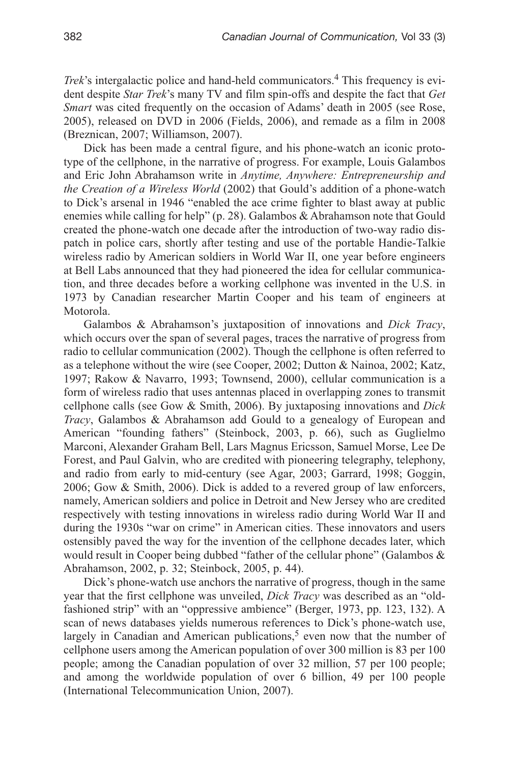*Trek*'s intergalactic police and hand-held communicators.4 This frequency is evident despite *Star Trek*'s many TV and film spin-offs and despite the fact that *Get Smart* was cited frequently on the occasion of Adams' death in 2005 (see Rose, 2005), released on DVD in 2006 (Fields, 2006), and remade as a film in 2008 (Breznican, 2007; Williamson, 2007).

Dick has been made a central figure, and his phone-watch an iconic prototype of the cellphone, in the narrative of progress. For example, Louis Galambos and Eric John Abrahamson write in *Anytime, Anywhere: Entrepreneurship and the Creation of a Wireless World* (2002) that Gould's addition of a phone-watch to Dick's arsenal in 1946 "enabled the ace crime fighter to blast away at public enemies while calling for help" (p. 28). Galambos & Abrahamson note that Gould created the phone-watch one decade after the introduction of two-way radio dispatch in police cars, shortly after testing and use of the portable Handie-Talkie wireless radio by American soldiers in World War II, one year before engineers at Bell Labs announced that they had pioneered the idea for cellular communication, and three decades before a working cellphone was invented in the U.S. in 1973 by Canadian researcher Martin Cooper and his team of engineers at Motorola.

Galambos & Abrahamson's juxtaposition of innovations and *Dick Tracy*, which occurs over the span of several pages, traces the narrative of progress from radio to cellular communication (2002). Though the cellphone is often referred to as a telephone without the wire (see Cooper, 2002; Dutton & Nainoa, 2002; Katz, 1997; Rakow & Navarro, 1993; Townsend, 2000), cellular communication is a form of wireless radio that uses antennas placed in overlapping zones to transmit cellphone calls (see Gow & Smith, 2006). By juxtaposing innovations and *Dick Tracy*, Galambos & Abrahamson add Gould to a genealogy of European and American "founding fathers" (Steinbock, 2003, p. 66), such as Guglielmo Marconi, Alexander Graham Bell, Lars Magnus Ericsson, Samuel Morse, Lee De Forest, and Paul Galvin, who are credited with pioneering telegraphy, telephony, and radio from early to mid-century (see Agar, 2003; Garrard, 1998; Goggin, 2006; Gow & Smith, 2006). Dick is added to a revered group of law enforcers, namely, American soldiers and police in Detroit and New Jersey who are credited respectively with testing innovations in wireless radio during World War II and during the 1930s "war on crime" in American cities. These innovators and users ostensibly paved the way for the invention of the cellphone decades later, which would result in Cooper being dubbed "father of the cellular phone" (Galambos & Abrahamson, 2002, p. 32; Steinbock, 2005, p. 44).

Dick's phone-watch use anchors the narrative of progress, though in the same year that the first cellphone was unveiled, *Dick Tracy* was described as an "oldfashioned strip" with an "oppressive ambience" (Berger, 1973, pp. 123, 132). A scan of news databases yields numerous references to Dick's phone-watch use, largely in Canadian and American publications, $5$  even now that the number of cellphone users among the American population of over 300 million is 83 per 100 people; among the Canadian population of over 32 million, 57 per 100 people; and among the worldwide population of over 6 billion, 49 per 100 people (International Telecommunication Union, 2007).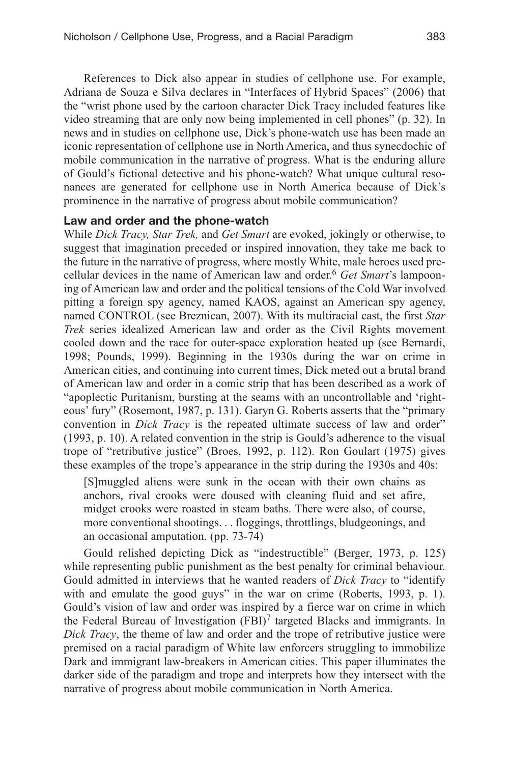References to Dick also appear in studies of cellphone use. For example, Adriana de Souza e Silva declares in "Interfaces of Hybrid Spaces" (2006) that the "wrist phone used by the cartoon character Dick Tracy included features like video streaming that are only now being implemented in cell phones" (p. 32). In news and in studies on cellphone use, Dick's phone-watch use has been made an iconic representation of cellphone use in North America, and thus synecdochic of mobile communication in the narrative of progress. What is the enduring allure of Gould's fictional detective and his phone-watch? What unique cultural resonances are generated for cellphone use in North America because of Dick's prominence in the narrative of progress about mobile communication?

## **Law and order and the phone-watch**

While *Dick Tracy, Star Trek,* and *Get Smart* are evoked, jokingly or otherwise, to suggest that imagination preceded or inspired innovation, they take me back to the future in the narrative of progress, where mostly White, male heroes used precellular devices in the name of American law and order.6 *Get Smart*'s lampooning of American law and order and the political tensions of the Cold War involved pitting a foreign spy agency, named KAOS, against an American spy agency, named CONTROL (see Breznican, 2007). With its multiracial cast, the first *Star Trek* series idealized American law and order as the Civil Rights movement cooled down and the race for outer-space exploration heated up (see Bernardi, 1998; Pounds, 1999). Beginning in the 1930s during the war on crime in American cities, and continuing into current times, Dick meted out a brutal brand of American law and order in a comic strip that has been described as a work of "apoplectic Puritanism, bursting at the seams with an uncontrollable and 'righteous' fury" (Rosemont, 1987, p. 131). Garyn G. Roberts asserts that the "primary convention in *Dick Tracy* is the repeated ultimate success of law and order" (1993, p. 10). A related convention in the strip is Gould's adherence to the visual trope of "retributive justice" (Broes, 1992, p. 112). Ron Goulart (1975) gives these examples of the trope's appearance in the strip during the 1930s and 40s:

[S]muggled aliens were sunk in the ocean with their own chains as anchors, rival crooks were doused with cleaning fluid and set afire, midget crooks were roasted in steam baths. There were also, of course, more conventional shootings. . . floggings, throttlings, bludgeonings, and an occasional amputation. (pp. 73-74)

Gould relished depicting Dick as "indestructible" (Berger, 1973, p. 125) while representing public punishment as the best penalty for criminal behaviour. Gould admitted in interviews that he wanted readers of *Dick Tracy* to "identify with and emulate the good guys" in the war on crime (Roberts, 1993, p. 1). Gould's vision of law and order was inspired by a fierce war on crime in which the Federal Bureau of Investigation  $(FBI)^7$  targeted Blacks and immigrants. In *Dick Tracy*, the theme of law and order and the trope of retributive justice were premised on a racial paradigm of White law enforcers struggling to immobilize Dark and immigrant law-breakers in American cities. This paper illuminates the darker side of the paradigm and trope and interprets how they intersect with the narrative of progress about mobile communication in North America.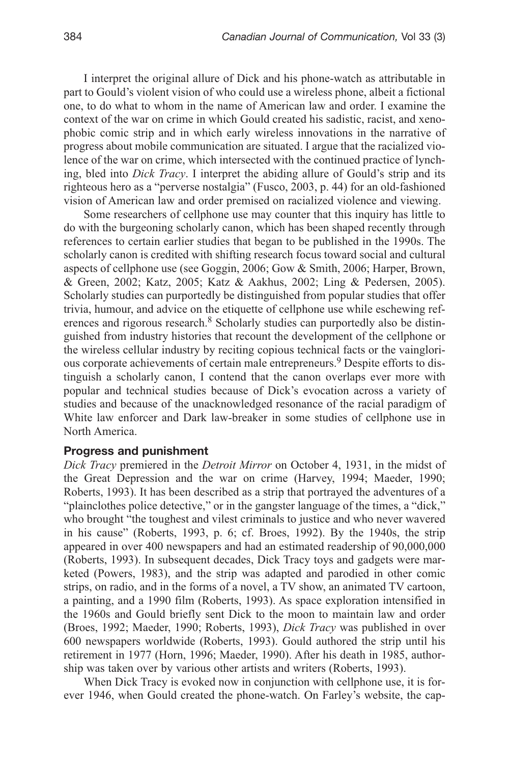I interpret the original allure of Dick and his phone-watch as attributable in part to Gould's violent vision of who could use a wireless phone, albeit a fictional one, to do what to whom in the name of American law and order. I examine the context of the war on crime in which Gould created his sadistic, racist, and xenophobic comic strip and in which early wireless innovations in the narrative of progress about mobile communication are situated. I argue that the racialized violence of the war on crime, which intersected with the continued practice of lynching, bled into *Dick Tracy*. I interpret the abiding allure of Gould's strip and its righteous hero as a "perverse nostalgia" (Fusco, 2003, p. 44) for an old-fashioned vision of American law and order premised on racialized violence and viewing.

Some researchers of cellphone use may counter that this inquiry has little to do with the burgeoning scholarly canon, which has been shaped recently through references to certain earlier studies that began to be published in the 1990s. The scholarly canon is credited with shifting research focus toward social and cultural aspects of cellphone use (see Goggin, 2006; Gow & Smith, 2006; Harper, Brown, & Green, 2002; Katz, 2005; Katz & Aakhus, 2002; Ling & Pedersen, 2005). Scholarly studies can purportedly be distinguished from popular studies that offer trivia, humour, and advice on the etiquette of cellphone use while eschewing references and rigorous research.<sup>8</sup> Scholarly studies can purportedly also be distinguished from industry histories that recount the development of the cellphone or the wireless cellular industry by reciting copious technical facts or the vainglorious corporate achievements of certain male entrepreneurs.9 Despite efforts to distinguish a scholarly canon, I contend that the canon overlaps ever more with popular and technical studies because of Dick's evocation across a variety of studies and because of the unacknowledged resonance of the racial paradigm of White law enforcer and Dark law-breaker in some studies of cellphone use in North America.

#### **Progress and punishment**

*Dick Tracy* premiered in the *Detroit Mirror* on October 4, 1931, in the midst of the Great Depression and the war on crime (Harvey, 1994; Maeder, 1990; Roberts, 1993). It has been described as a strip that portrayed the adventures of a "plainclothes police detective," or in the gangster language of the times, a "dick," who brought "the toughest and vilest criminals to justice and who never wavered in his cause" (Roberts, 1993, p. 6; cf. Broes, 1992). By the 1940s, the strip appeared in over 400 newspapers and had an estimated readership of 90,000,000 (Roberts, 1993). In subsequent decades, Dick Tracy toys and gadgets were marketed (Powers, 1983), and the strip was adapted and parodied in other comic strips, on radio, and in the forms of a novel, a TV show, an animated TV cartoon, a painting, and a 1990 film (Roberts, 1993). As space exploration intensified in the 1960s and Gould briefly sent Dick to the moon to maintain law and order (Broes, 1992; Maeder, 1990; Roberts, 1993), *Dick Tracy* was published in over 600 newspapers worldwide (Roberts, 1993). Gould authored the strip until his retirement in 1977 (Horn, 1996; Maeder, 1990). After his death in 1985, authorship was taken over by various other artists and writers (Roberts, 1993).

When Dick Tracy is evoked now in conjunction with cellphone use, it is forever 1946, when Gould created the phone-watch. On Farley's website, the cap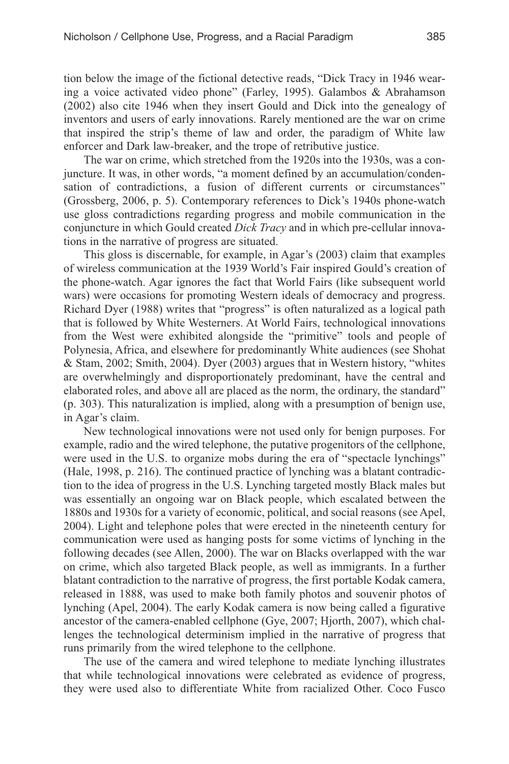tion below the image of the fictional detective reads, "Dick Tracy in 1946 wearing a voice activated video phone" (Farley, 1995). Galambos & Abrahamson (2002) also cite 1946 when they insert Gould and Dick into the genealogy of inventors and users of early innovations. Rarely mentioned are the war on crime that inspired the strip's theme of law and order, the paradigm of White law enforcer and Dark law-breaker, and the trope of retributive justice.

The war on crime, which stretched from the 1920s into the 1930s, was a conjuncture. It was, in other words, "a moment defined by an accumulation/condensation of contradictions, a fusion of different currents or circumstances" (Grossberg, 2006, p. 5). Contemporary references to Dick's 1940s phone-watch use gloss contradictions regarding progress and mobile communication in the conjuncture in which Gould created *Dick Tracy* and in which pre-cellular innovations in the narrative of progress are situated.

This gloss is discernable, for example, in Agar's (2003) claim that examples of wireless communication at the 1939 World's Fair inspired Gould's creation of the phone-watch. Agar ignores the fact that World Fairs (like subsequent world wars) were occasions for promoting Western ideals of democracy and progress. Richard Dyer (1988) writes that "progress" is often naturalized as a logical path that is followed by White Westerners. At World Fairs, technological innovations from the West were exhibited alongside the "primitive" tools and people of Polynesia, Africa, and elsewhere for predominantly White audiences (see Shohat & Stam, 2002; Smith, 2004). Dyer (2003) argues that in Western history, "whites are overwhelmingly and disproportionately predominant, have the central and elaborated roles, and above all are placed as the norm, the ordinary, the standard" (p. 303). This naturalization is implied, along with a presumption of benign use, in Agar's claim.

New technological innovations were not used only for benign purposes. For example, radio and the wired telephone, the putative progenitors of the cellphone, were used in the U.S. to organize mobs during the era of "spectacle lynchings" (Hale, 1998, p. 216). The continued practice of lynching was a blatant contradiction to the idea of progress in the U.S. Lynching targeted mostly Black males but was essentially an ongoing war on Black people, which escalated between the 1880s and 1930s for a variety of economic, political, and social reasons (see Apel, 2004). Light and telephone poles that were erected in the nineteenth century for communication were used as hanging posts for some victims of lynching in the following decades (see Allen, 2000). The war on Blacks overlapped with the war on crime, which also targeted Black people, as well as immigrants. In a further blatant contradiction to the narrative of progress, the first portable Kodak camera, released in 1888, was used to make both family photos and souvenir photos of lynching (Apel, 2004). The early Kodak camera is now being called a figurative ancestor of the camera-enabled cellphone (Gye, 2007; Hjorth, 2007), which challenges the technological determinism implied in the narrative of progress that runs primarily from the wired telephone to the cellphone.

The use of the camera and wired telephone to mediate lynching illustrates that while technological innovations were celebrated as evidence of progress, they were used also to differentiate White from racialized Other. Coco Fusco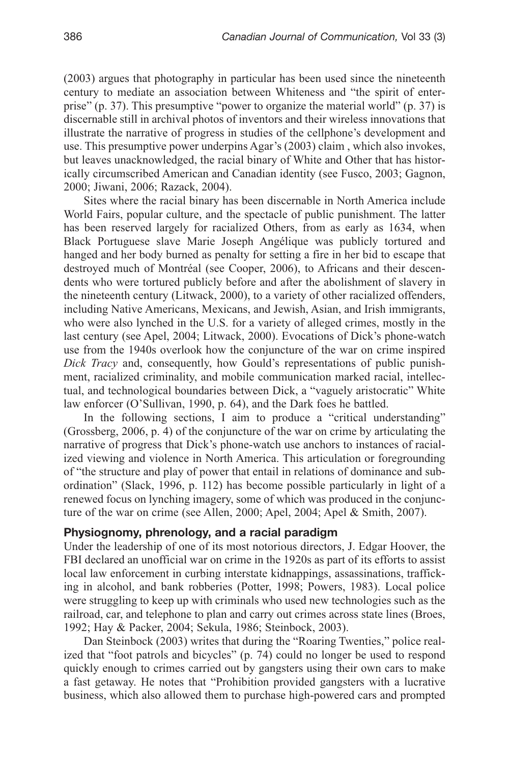(2003) argues that photography in particular has been used since the nineteenth century to mediate an association between Whiteness and "the spirit of enterprise" (p. 37). This presumptive "power to organize the material world" (p. 37) is discernable still in archival photos of inventors and their wireless innovations that illustrate the narrative of progress in studies of the cellphone's development and use. This presumptive power underpins Agar's (2003) claim , which also invokes, but leaves unacknowledged, the racial binary of White and Other that has historically circumscribed American and Canadian identity (see Fusco, 2003; Gagnon, 2000; Jiwani, 2006; Razack, 2004).

Sites where the racial binary has been discernable in North America include World Fairs, popular culture, and the spectacle of public punishment. The latter has been reserved largely for racialized Others, from as early as 1634, when Black Portuguese slave Marie Joseph Angélique was publicly tortured and hanged and her body burned as penalty for setting a fire in her bid to escape that destroyed much of Montréal (see Cooper, 2006), to Africans and their descendents who were tortured publicly before and after the abolishment of slavery in the nineteenth century (Litwack, 2000), to a variety of other racialized offenders, including Native Americans, Mexicans, and Jewish, Asian, and Irish immigrants, who were also lynched in the U.S. for a variety of alleged crimes, mostly in the last century (see Apel, 2004; Litwack, 2000). Evocations of Dick's phone-watch use from the 1940s overlook how the conjuncture of the war on crime inspired *Dick Tracy* and, consequently, how Gould's representations of public punishment, racialized criminality, and mobile communication marked racial, intellectual, and technological boundaries between Dick, a "vaguely aristocratic" White law enforcer (O'Sullivan, 1990, p. 64), and the Dark foes he battled.

In the following sections, I aim to produce a "critical understanding" (Grossberg, 2006, p. 4) of the conjuncture of the war on crime by articulating the narrative of progress that Dick's phone-watch use anchors to instances of racialized viewing and violence in North America. This articulation or foregrounding of "the structure and play of power that entail in relations of dominance and subordination" (Slack, 1996, p. 112) has become possible particularly in light of a renewed focus on lynching imagery, some of which was produced in the conjuncture of the war on crime (see Allen, 2000; Apel, 2004; Apel & Smith, 2007).

#### **Physiognomy, phrenology, and a racial paradigm**

Under the leadership of one of its most notorious directors, J. Edgar Hoover, the FBI declared an unofficial war on crime in the 1920s as part of its efforts to assist local law enforcement in curbing interstate kidnappings, assassinations, trafficking in alcohol, and bank robberies (Potter, 1998; Powers, 1983). Local police were struggling to keep up with criminals who used new technologies such as the railroad, car, and telephone to plan and carry out crimes across state lines (Broes, 1992; Hay & Packer, 2004; Sekula, 1986; Steinbock, 2003).

Dan Steinbock (2003) writes that during the "Roaring Twenties," police realized that "foot patrols and bicycles" (p. 74) could no longer be used to respond quickly enough to crimes carried out by gangsters using their own cars to make a fast getaway. He notes that "Prohibition provided gangsters with a lucrative business, which also allowed them to purchase high-powered cars and prompted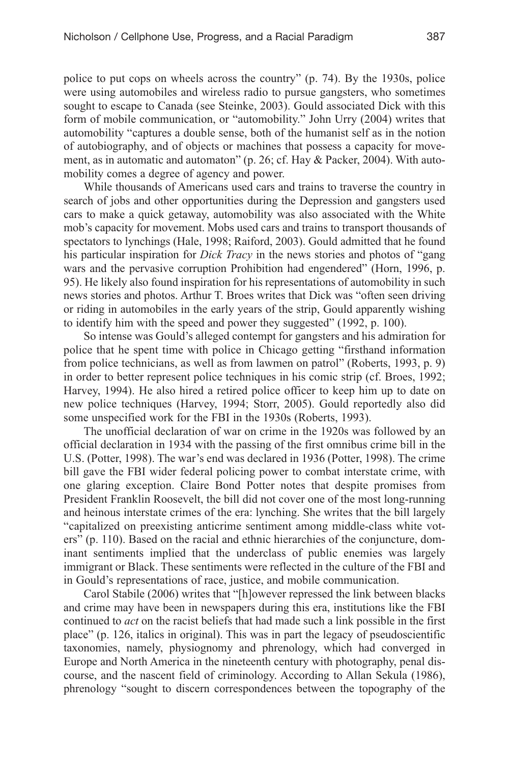police to put cops on wheels across the country" (p. 74). By the 1930s, police were using automobiles and wireless radio to pursue gangsters, who sometimes sought to escape to Canada (see Steinke, 2003). Gould associated Dick with this form of mobile communication, or "automobility." John Urry (2004) writes that automobility "captures a double sense, both of the humanist self as in the notion of autobiography, and of objects or machines that possess a capacity for movement, as in automatic and automaton" (p. 26; cf. Hay & Packer, 2004). With automobility comes a degree of agency and power.

While thousands of Americans used cars and trains to traverse the country in search of jobs and other opportunities during the Depression and gangsters used cars to make a quick getaway, automobility was also associated with the White mob's capacity for movement. Mobs used cars and trains to transport thousands of spectators to lynchings (Hale, 1998; Raiford, 2003). Gould admitted that he found his particular inspiration for *Dick Tracy* in the news stories and photos of "gang wars and the pervasive corruption Prohibition had engendered" (Horn, 1996, p. 95). He likely also found inspiration for his representations of automobility in such news stories and photos. Arthur T. Broes writes that Dick was "often seen driving or riding in automobiles in the early years of the strip, Gould apparently wishing to identify him with the speed and power they suggested" (1992, p. 100).

So intense was Gould's alleged contempt for gangsters and his admiration for police that he spent time with police in Chicago getting "firsthand information from police technicians, as well as from lawmen on patrol" (Roberts, 1993, p. 9) in order to better represent police techniques in his comic strip (cf. Broes, 1992; Harvey, 1994). He also hired a retired police officer to keep him up to date on new police techniques (Harvey, 1994; Storr, 2005). Gould reportedly also did some unspecified work for the FBI in the 1930s (Roberts, 1993).

The unofficial declaration of war on crime in the 1920s was followed by an official declaration in 1934 with the passing of the first omnibus crime bill in the U.S. (Potter, 1998). The war's end was declared in 1936 (Potter, 1998). The crime bill gave the FBI wider federal policing power to combat interstate crime, with one glaring exception. Claire Bond Potter notes that despite promises from President Franklin Roosevelt, the bill did not cover one of the most long-running and heinous interstate crimes of the era: lynching. She writes that the bill largely "capitalized on preexisting anticrime sentiment among middle-class white voters" (p. 110). Based on the racial and ethnic hierarchies of the conjuncture, dominant sentiments implied that the underclass of public enemies was largely immigrant or Black. These sentiments were reflected in the culture of the FBI and in Gould's representations of race, justice, and mobile communication.

Carol Stabile (2006) writes that "[h]owever repressed the link between blacks and crime may have been in newspapers during this era, institutions like the FBI continued to *act* on the racist beliefs that had made such a link possible in the first place" (p. 126, italics in original). This was in part the legacy of pseudoscientific taxonomies, namely, physiognomy and phrenology, which had converged in Europe and North America in the nineteenth century with photography, penal discourse, and the nascent field of criminology. According to Allan Sekula (1986), phrenology "sought to discern correspondences between the topography of the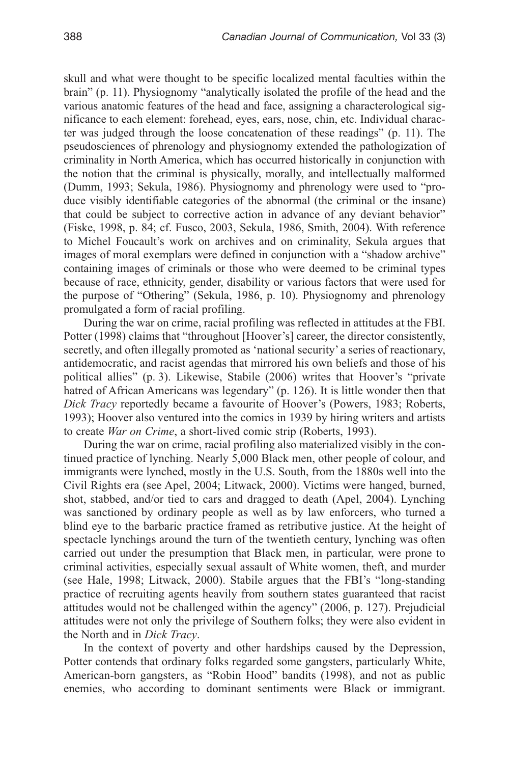skull and what were thought to be specific localized mental faculties within the brain" (p. 11). Physiognomy "analytically isolated the profile of the head and the various anatomic features of the head and face, assigning a characterological significance to each element: forehead, eyes, ears, nose, chin, etc. Individual character was judged through the loose concatenation of these readings" (p. 11). The pseudosciences of phrenology and physiognomy extended the pathologization of criminality in North America, which has occurred historically in conjunction with the notion that the criminal is physically, morally, and intellectually malformed (Dumm, 1993; Sekula, 1986). Physiognomy and phrenology were used to "produce visibly identifiable categories of the abnormal (the criminal or the insane) that could be subject to corrective action in advance of any deviant behavior" (Fiske, 1998, p. 84; cf. Fusco, 2003, Sekula, 1986, Smith, 2004). With reference to Michel Foucault's work on archives and on criminality, Sekula argues that images of moral exemplars were defined in conjunction with a "shadow archive" containing images of criminals or those who were deemed to be criminal types because of race, ethnicity, gender, disability or various factors that were used for the purpose of "Othering" (Sekula, 1986, p. 10). Physiognomy and phrenology promulgated a form of racial profiling.

During the war on crime, racial profiling was reflected in attitudes at the FBI. Potter (1998) claims that "throughout [Hoover's] career, the director consistently, secretly, and often illegally promoted as 'national security' a series of reactionary, antidemocratic, and racist agendas that mirrored his own beliefs and those of his political allies" (p. 3). Likewise, Stabile (2006) writes that Hoover's "private hatred of African Americans was legendary" (p. 126). It is little wonder then that *Dick Tracy* reportedly became a favourite of Hoover's (Powers, 1983; Roberts, 1993); Hoover also ventured into the comics in 1939 by hiring writers and artists to create *War on Crime*, a short-lived comic strip (Roberts, 1993).

During the war on crime, racial profiling also materialized visibly in the continued practice of lynching. Nearly 5,000 Black men, other people of colour, and immigrants were lynched, mostly in the U.S. South, from the 1880s well into the Civil Rights era (see Apel, 2004; Litwack, 2000). Victims were hanged, burned, shot, stabbed, and/or tied to cars and dragged to death (Apel, 2004). Lynching was sanctioned by ordinary people as well as by law enforcers, who turned a blind eye to the barbaric practice framed as retributive justice. At the height of spectacle lynchings around the turn of the twentieth century, lynching was often carried out under the presumption that Black men, in particular, were prone to criminal activities, especially sexual assault of White women, theft, and murder (see Hale, 1998; Litwack, 2000). Stabile argues that the FBI's "long-standing practice of recruiting agents heavily from southern states guaranteed that racist attitudes would not be challenged within the agency" (2006, p. 127). Prejudicial attitudes were not only the privilege of Southern folks; they were also evident in the North and in *Dick Tracy*.

In the context of poverty and other hardships caused by the Depression, Potter contends that ordinary folks regarded some gangsters, particularly White, American-born gangsters, as "Robin Hood" bandits (1998), and not as public enemies, who according to dominant sentiments were Black or immigrant.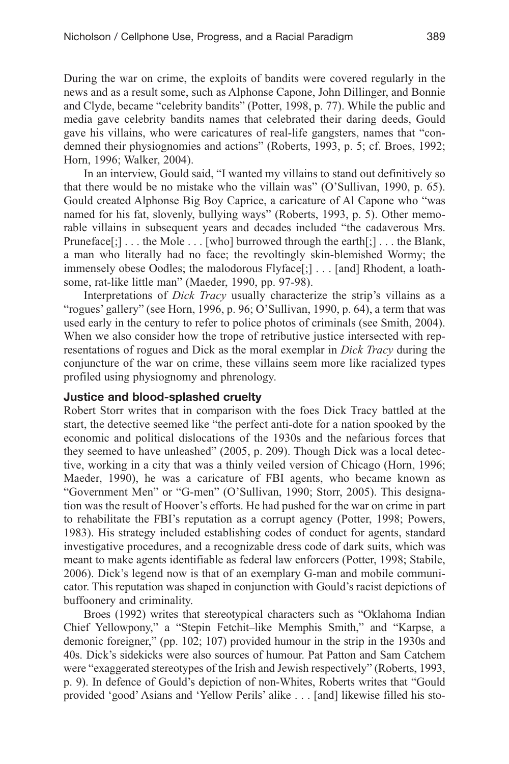During the war on crime, the exploits of bandits were covered regularly in the news and as a result some, such as Alphonse Capone, John Dillinger, and Bonnie and Clyde, became "celebrity bandits" (Potter, 1998, p. 77). While the public and media gave celebrity bandits names that celebrated their daring deeds, Gould gave his villains, who were caricatures of real-life gangsters, names that "condemned their physiognomies and actions" (Roberts, 1993, p. 5; cf. Broes, 1992; Horn, 1996; Walker, 2004).

In an interview, Gould said, "I wanted my villains to stand out definitively so that there would be no mistake who the villain was" (O'Sullivan, 1990, p. 65). Gould created Alphonse Big Boy Caprice, a caricature of Al Capone who "was named for his fat, slovenly, bullying ways" (Roberts, 1993, p. 5). Other memorable villains in subsequent years and decades included "the cadaverous Mrs. Pruneface[;] . . . the Mole . . . [who] burrowed through the earth[;] . . . the Blank, a man who literally had no face; the revoltingly skin-blemished Wormy; the immensely obese Oodles; the malodorous Flyface[;] . . . [and] Rhodent, a loathsome, rat-like little man" (Maeder, 1990, pp. 97-98).

Interpretations of *Dick Tracy* usually characterize the strip's villains as a "rogues' gallery" (see Horn, 1996, p. 96; O'Sullivan, 1990, p. 64), a term that was used early in the century to refer to police photos of criminals (see Smith, 2004). When we also consider how the trope of retributive justice intersected with representations of rogues and Dick as the moral exemplar in *Dick Tracy* during the conjuncture of the war on crime, these villains seem more like racialized types profiled using physiognomy and phrenology.

#### **Justice and blood-splashed cruelty**

Robert Storr writes that in comparison with the foes Dick Tracy battled at the start, the detective seemed like "the perfect anti-dote for a nation spooked by the economic and political dislocations of the 1930s and the nefarious forces that they seemed to have unleashed" (2005, p. 209). Though Dick was a local detective, working in a city that was a thinly veiled version of Chicago (Horn, 1996; Maeder, 1990), he was a caricature of FBI agents, who became known as "Government Men" or "G-men" (O'Sullivan, 1990; Storr, 2005). This designation was the result of Hoover's efforts. He had pushed for the war on crime in part to rehabilitate the FBI's reputation as a corrupt agency (Potter, 1998; Powers, 1983). His strategy included establishing codes of conduct for agents, standard investigative procedures, and a recognizable dress code of dark suits, which was meant to make agents identifiable as federal law enforcers (Potter, 1998; Stabile, 2006). Dick's legend now is that of an exemplary G-man and mobile communicator. This reputation was shaped in conjunction with Gould's racist depictions of buffoonery and criminality.

Broes (1992) writes that stereotypical characters such as "Oklahoma Indian Chief Yellowpony," a "Stepin Fetchit–like Memphis Smith," and "Karpse, a demonic foreigner," (pp. 102; 107) provided humour in the strip in the 1930s and 40s. Dick's sidekicks were also sources of humour. Pat Patton and Sam Catchem were "exaggerated stereotypes of the Irish and Jewish respectively" (Roberts, 1993, p. 9). In defence of Gould's depiction of non-Whites, Roberts writes that "Gould provided 'good' Asians and 'Yellow Perils' alike . . . [and] likewise filled his sto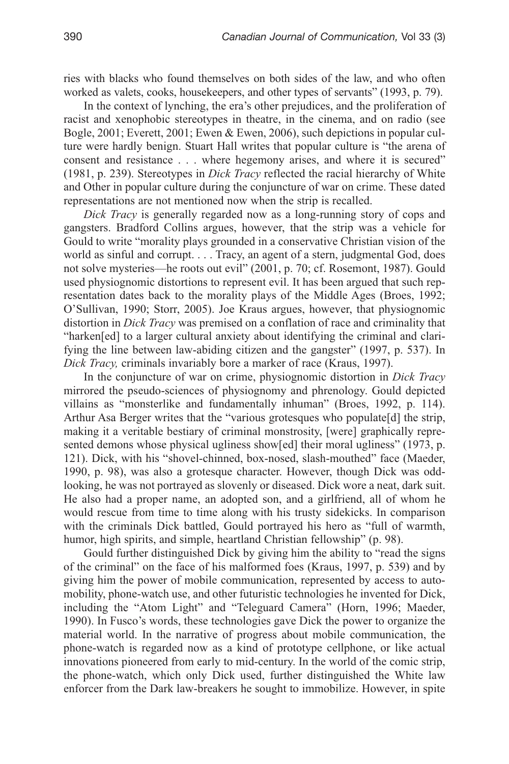ries with blacks who found themselves on both sides of the law, and who often worked as valets, cooks, housekeepers, and other types of servants" (1993, p. 79).

In the context of lynching, the era's other prejudices, and the proliferation of racist and xenophobic stereotypes in theatre, in the cinema, and on radio (see Bogle, 2001; Everett, 2001; Ewen & Ewen, 2006), such depictions in popular culture were hardly benign. Stuart Hall writes that popular culture is "the arena of consent and resistance . . . where hegemony arises, and where it is secured" (1981, p. 239). Stereotypes in *Dick Tracy* reflected the racial hierarchy of White and Other in popular culture during the conjuncture of war on crime. These dated representations are not mentioned now when the strip is recalled.

*Dick Tracy* is generally regarded now as a long-running story of cops and gangsters. Bradford Collins argues, however, that the strip was a vehicle for Gould to write "morality plays grounded in a conservative Christian vision of the world as sinful and corrupt. . . . Tracy, an agent of a stern, judgmental God, does not solve mysteries—he roots out evil" (2001, p. 70; cf. Rosemont, 1987). Gould used physiognomic distortions to represent evil. It has been argued that such representation dates back to the morality plays of the Middle Ages (Broes, 1992; O'Sullivan, 1990; Storr, 2005). Joe Kraus argues, however, that physiognomic distortion in *Dick Tracy* was premised on a conflation of race and criminality that "harken[ed] to a larger cultural anxiety about identifying the criminal and clarifying the line between law-abiding citizen and the gangster" (1997, p. 537). In *Dick Tracy,* criminals invariably bore a marker of race (Kraus, 1997).

In the conjuncture of war on crime, physiognomic distortion in *Dick Tracy* mirrored the pseudo-sciences of physiognomy and phrenology. Gould depicted villains as "monsterlike and fundamentally inhuman" (Broes, 1992, p. 114). Arthur Asa Berger writes that the "various grotesques who populate[d] the strip, making it a veritable bestiary of criminal monstrosity, [were] graphically represented demons whose physical ugliness show[ed] their moral ugliness" (1973, p. 121). Dick, with his "shovel-chinned, box-nosed, slash-mouthed" face (Maeder, 1990, p. 98), was also a grotesque character. However, though Dick was oddlooking, he was not portrayed as slovenly or diseased. Dick wore a neat, dark suit. He also had a proper name, an adopted son, and a girlfriend, all of whom he would rescue from time to time along with his trusty sidekicks. In comparison with the criminals Dick battled, Gould portrayed his hero as "full of warmth, humor, high spirits, and simple, heartland Christian fellowship" (p. 98).

Gould further distinguished Dick by giving him the ability to "read the signs of the criminal" on the face of his malformed foes (Kraus, 1997, p. 539) and by giving him the power of mobile communication, represented by access to automobility, phone-watch use, and other futuristic technologies he invented for Dick, including the "Atom Light" and "Teleguard Camera" (Horn, 1996; Maeder, 1990). In Fusco's words, these technologies gave Dick the power to organize the material world. In the narrative of progress about mobile communication, the phone-watch is regarded now as a kind of prototype cellphone, or like actual innovations pioneered from early to mid-century. In the world of the comic strip, the phone-watch, which only Dick used, further distinguished the White law enforcer from the Dark law-breakers he sought to immobilize. However, in spite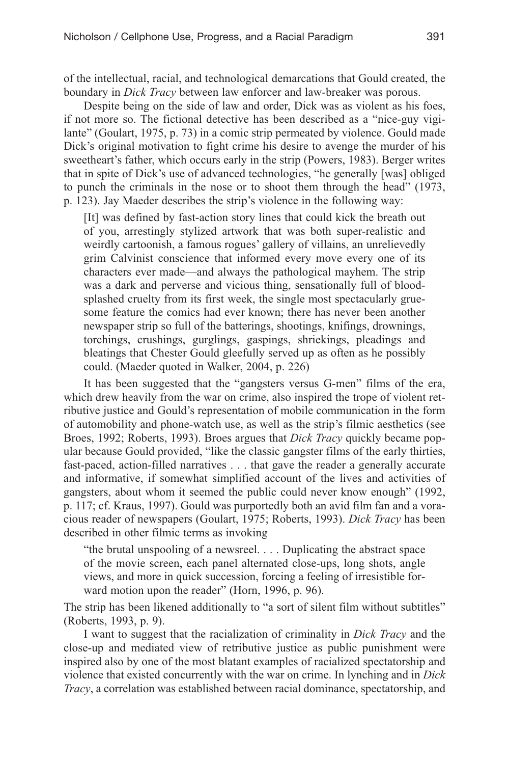of the intellectual, racial, and technological demarcations that Gould created, the boundary in *Dick Tracy* between law enforcer and law-breaker was porous.

Despite being on the side of law and order, Dick was as violent as his foes, if not more so. The fictional detective has been described as a "nice-guy vigilante" (Goulart, 1975, p. 73) in a comic strip permeated by violence. Gould made Dick's original motivation to fight crime his desire to avenge the murder of his sweetheart's father, which occurs early in the strip (Powers, 1983). Berger writes that in spite of Dick's use of advanced technologies, "he generally [was] obliged to punch the criminals in the nose or to shoot them through the head" (1973, p. 123). Jay Maeder describes the strip's violence in the following way:

[It] was defined by fast-action story lines that could kick the breath out of you, arrestingly stylized artwork that was both super-realistic and weirdly cartoonish, a famous rogues' gallery of villains, an unrelievedly grim Calvinist conscience that informed every move every one of its characters ever made—and always the pathological mayhem. The strip was a dark and perverse and vicious thing, sensationally full of bloodsplashed cruelty from its first week, the single most spectacularly gruesome feature the comics had ever known; there has never been another newspaper strip so full of the batterings, shootings, knifings, drownings, torchings, crushings, gurglings, gaspings, shriekings, pleadings and bleatings that Chester Gould gleefully served up as often as he possibly could. (Maeder quoted in Walker, 2004, p. 226)

It has been suggested that the "gangsters versus G-men" films of the era, which drew heavily from the war on crime, also inspired the trope of violent retributive justice and Gould's representation of mobile communication in the form of automobility and phone-watch use, as well as the strip's filmic aesthetics (see Broes, 1992; Roberts, 1993). Broes argues that *Dick Tracy* quickly became popular because Gould provided, "like the classic gangster films of the early thirties, fast-paced, action-filled narratives . . . that gave the reader a generally accurate and informative, if somewhat simplified account of the lives and activities of gangsters, about whom it seemed the public could never know enough" (1992, p. 117; cf. Kraus, 1997). Gould was purportedly both an avid film fan and a voracious reader of newspapers (Goulart, 1975; Roberts, 1993). *Dick Tracy* has been described in other filmic terms as invoking

"the brutal unspooling of a newsreel. . . . Duplicating the abstract space of the movie screen, each panel alternated close-ups, long shots, angle views, and more in quick succession, forcing a feeling of irresistible forward motion upon the reader" (Horn, 1996, p. 96).

The strip has been likened additionally to "a sort of silent film without subtitles" (Roberts, 1993, p. 9).

I want to suggest that the racialization of criminality in *Dick Tracy* and the close-up and mediated view of retributive justice as public punishment were inspired also by one of the most blatant examples of racialized spectatorship and violence that existed concurrently with the war on crime. In lynching and in *Dick Tracy*, a correlation was established between racial dominance, spectatorship, and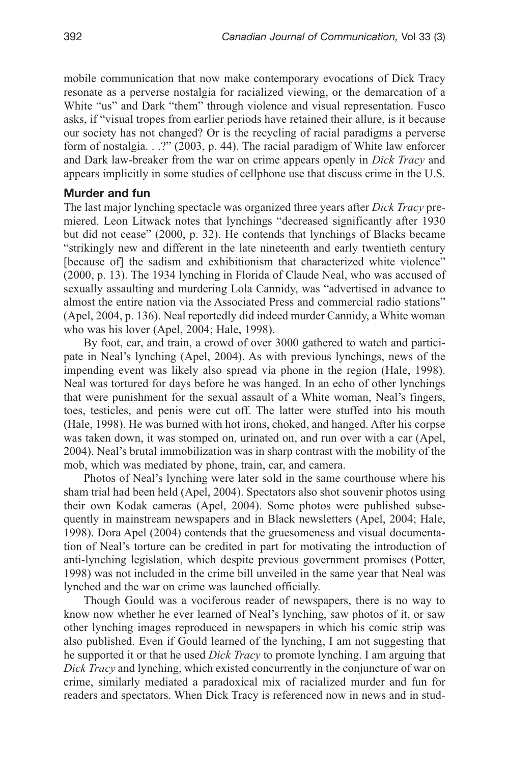mobile communication that now make contemporary evocations of Dick Tracy resonate as a perverse nostalgia for racialized viewing, or the demarcation of a White "us" and Dark "them" through violence and visual representation. Fusco asks, if "visual tropes from earlier periods have retained their allure, is it because our society has not changed? Or is the recycling of racial paradigms a perverse form of nostalgia. . .?" (2003, p. 44). The racial paradigm of White law enforcer and Dark law-breaker from the war on crime appears openly in *Dick Tracy* and appears implicitly in some studies of cellphone use that discuss crime in the U.S.

## **Murder and fun**

The last major lynching spectacle was organized three years after *Dick Tracy* premiered. Leon Litwack notes that lynchings "decreased significantly after 1930 but did not cease" (2000, p. 32). He contends that lynchings of Blacks became "strikingly new and different in the late nineteenth and early twentieth century [because of] the sadism and exhibitionism that characterized white violence" (2000, p. 13). The 1934 lynching in Florida of Claude Neal, who was accused of sexually assaulting and murdering Lola Cannidy, was "advertised in advance to almost the entire nation via the Associated Press and commercial radio stations" (Apel, 2004, p. 136). Neal reportedly did indeed murder Cannidy, a White woman who was his lover (Apel, 2004; Hale, 1998).

By foot, car, and train, a crowd of over 3000 gathered to watch and participate in Neal's lynching (Apel, 2004). As with previous lynchings, news of the impending event was likely also spread via phone in the region (Hale, 1998). Neal was tortured for days before he was hanged. In an echo of other lynchings that were punishment for the sexual assault of a White woman, Neal's fingers, toes, testicles, and penis were cut off. The latter were stuffed into his mouth (Hale, 1998). He was burned with hot irons, choked, and hanged. After his corpse was taken down, it was stomped on, urinated on, and run over with a car (Apel, 2004). Neal's brutal immobilization was in sharp contrast with the mobility of the mob, which was mediated by phone, train, car, and camera.

Photos of Neal's lynching were later sold in the same courthouse where his sham trial had been held (Apel, 2004). Spectators also shot souvenir photos using their own Kodak cameras (Apel, 2004). Some photos were published subsequently in mainstream newspapers and in Black newsletters (Apel, 2004; Hale, 1998). Dora Apel (2004) contends that the gruesomeness and visual documentation of Neal's torture can be credited in part for motivating the introduction of anti-lynching legislation, which despite previous government promises (Potter, 1998) was not included in the crime bill unveiled in the same year that Neal was lynched and the war on crime was launched officially.

Though Gould was a vociferous reader of newspapers, there is no way to know now whether he ever learned of Neal's lynching, saw photos of it, or saw other lynching images reproduced in newspapers in which his comic strip was also published. Even if Gould learned of the lynching, I am not suggesting that he supported it or that he used *Dick Tracy* to promote lynching. I am arguing that *Dick Tracy* and lynching, which existed concurrently in the conjuncture of war on crime, similarly mediated a paradoxical mix of racialized murder and fun for readers and spectators. When Dick Tracy is referenced now in news and in stud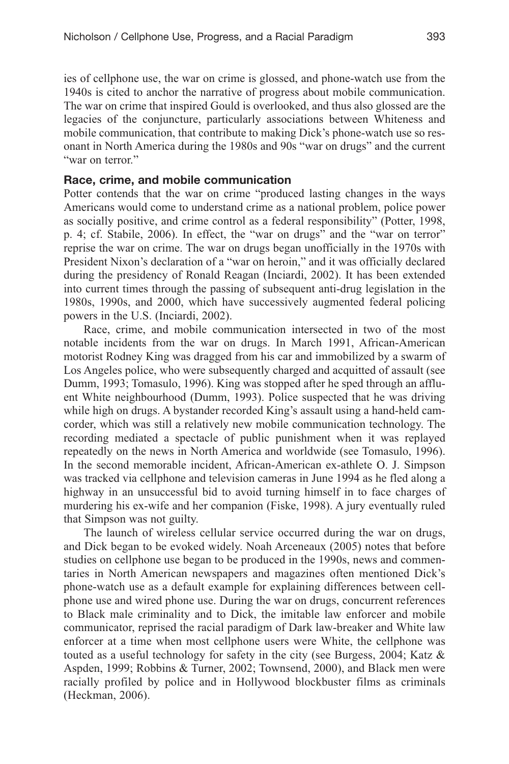ies of cellphone use, the war on crime is glossed, and phone-watch use from the 1940s is cited to anchor the narrative of progress about mobile communication. The war on crime that inspired Gould is overlooked, and thus also glossed are the legacies of the conjuncture, particularly associations between Whiteness and mobile communication, that contribute to making Dick's phone-watch use so resonant in North America during the 1980s and 90s "war on drugs" and the current "war on terror."

#### **Race, crime, and mobile communication**

Potter contends that the war on crime "produced lasting changes in the ways Americans would come to understand crime as a national problem, police power as socially positive, and crime control as a federal responsibility" (Potter, 1998, p. 4; cf. Stabile, 2006). In effect, the "war on drugs" and the "war on terror" reprise the war on crime. The war on drugs began unofficially in the 1970s with President Nixon's declaration of a "war on heroin," and it was officially declared during the presidency of Ronald Reagan (Inciardi, 2002). It has been extended into current times through the passing of subsequent anti-drug legislation in the 1980s, 1990s, and 2000, which have successively augmented federal policing powers in the U.S. (Inciardi, 2002).

Race, crime, and mobile communication intersected in two of the most notable incidents from the war on drugs. In March 1991, African-American motorist Rodney King was dragged from his car and immobilized by a swarm of Los Angeles police, who were subsequently charged and acquitted of assault (see Dumm, 1993; Tomasulo, 1996). King was stopped after he sped through an affluent White neighbourhood (Dumm, 1993). Police suspected that he was driving while high on drugs. A bystander recorded King's assault using a hand-held camcorder, which was still a relatively new mobile communication technology. The recording mediated a spectacle of public punishment when it was replayed repeatedly on the news in North America and worldwide (see Tomasulo, 1996). In the second memorable incident, African-American ex-athlete O. J. Simpson was tracked via cellphone and television cameras in June 1994 as he fled along a highway in an unsuccessful bid to avoid turning himself in to face charges of murdering his ex-wife and her companion (Fiske, 1998). A jury eventually ruled that Simpson was not guilty.

The launch of wireless cellular service occurred during the war on drugs, and Dick began to be evoked widely. Noah Arceneaux (2005) notes that before studies on cellphone use began to be produced in the 1990s, news and commentaries in North American newspapers and magazines often mentioned Dick's phone-watch use as a default example for explaining differences between cellphone use and wired phone use. During the war on drugs, concurrent references to Black male criminality and to Dick, the imitable law enforcer and mobile communicator, reprised the racial paradigm of Dark law-breaker and White law enforcer at a time when most cellphone users were White, the cellphone was touted as a useful technology for safety in the city (see Burgess, 2004; Katz & Aspden, 1999; Robbins & Turner, 2002; Townsend, 2000), and Black men were racially profiled by police and in Hollywood blockbuster films as criminals (Heckman, 2006).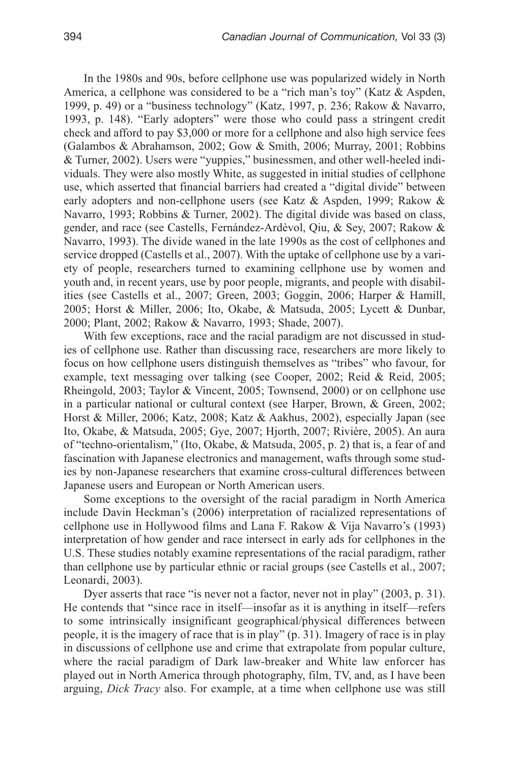In the 1980s and 90s, before cellphone use was popularized widely in North America, a cellphone was considered to be a "rich man's toy" (Katz & Aspden, 1999, p. 49) or a "business technology" (Katz, 1997, p. 236; Rakow & Navarro, 1993, p. 148). "Early adopters" were those who could pass a stringent credit check and afford to pay \$3,000 or more for a cellphone and also high service fees (Galambos & Abrahamson, 2002; Gow & Smith, 2006; Murray, 2001; Robbins & Turner, 2002). Users were "yuppies," businessmen, and other well-heeled individuals. They were also mostly White, as suggested in initial studies of cellphone use, which asserted that financial barriers had created a "digital divide" between early adopters and non-cellphone users (see Katz & Aspden, 1999; Rakow & Navarro, 1993; Robbins & Turner, 2002). The digital divide was based on class, gender, and race (see Castells, Fernández-Ardèvol, Qiu, & Sey, 2007; Rakow & Navarro, 1993). The divide waned in the late 1990s as the cost of cellphones and service dropped (Castells et al., 2007). With the uptake of cellphone use by a variety of people, researchers turned to examining cellphone use by women and youth and, in recent years, use by poor people, migrants, and people with disabilities (see Castells et al., 2007; Green, 2003; Goggin, 2006; Harper & Hamill, 2005; Horst & Miller, 2006; Ito, Okabe, & Matsuda, 2005; Lycett & Dunbar, 2000; Plant, 2002; Rakow & Navarro, 1993; Shade, 2007).

With few exceptions, race and the racial paradigm are not discussed in studies of cellphone use. Rather than discussing race, researchers are more likely to focus on how cellphone users distinguish themselves as "tribes" who favour, for example, text messaging over talking (see Cooper, 2002; Reid & Reid, 2005; Rheingold, 2003; Taylor & Vincent, 2005; Townsend, 2000) or on cellphone use in a particular national or cultural context (see Harper, Brown, & Green, 2002; Horst & Miller, 2006; Katz, 2008; Katz & Aakhus, 2002), especially Japan (see Ito, Okabe, & Matsuda, 2005; Gye, 2007; Hjorth, 2007; Rivière, 2005). An aura of "techno-orientalism," (Ito, Okabe, & Matsuda, 2005, p. 2) that is, a fear of and fascination with Japanese electronics and management, wafts through some studies by non-Japanese researchers that examine cross-cultural differences between Japanese users and European or North American users.

Some exceptions to the oversight of the racial paradigm in North America include Davin Heckman's (2006) interpretation of racialized representations of cellphone use in Hollywood films and Lana F. Rakow & Vija Navarro's (1993) interpretation of how gender and race intersect in early ads for cellphones in the U.S. These studies notably examine representations of the racial paradigm, rather than cellphone use by particular ethnic or racial groups (see Castells et al., 2007; Leonardi, 2003).

Dyer asserts that race "is never not a factor, never not in play" (2003, p. 31). He contends that "since race in itself—insofar as it is anything in itself—refers to some intrinsically insignificant geographical/physical differences between people, it is the imagery of race that is in play" (p. 31). Imagery of race is in play in discussions of cellphone use and crime that extrapolate from popular culture, where the racial paradigm of Dark law-breaker and White law enforcer has played out in North America through photography, film, TV, and, as I have been arguing, *Dick Tracy* also. For example, at a time when cellphone use was still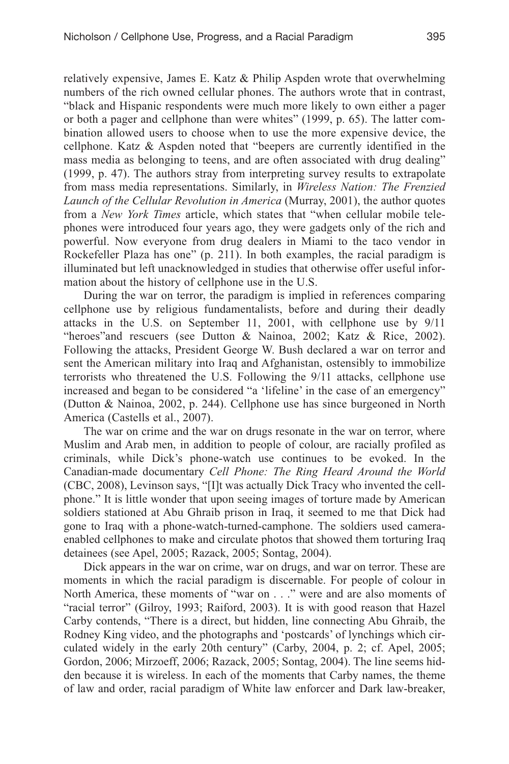relatively expensive, James E. Katz & Philip Aspden wrote that overwhelming numbers of the rich owned cellular phones. The authors wrote that in contrast, "black and Hispanic respondents were much more likely to own either a pager or both a pager and cellphone than were whites" (1999, p. 65). The latter combination allowed users to choose when to use the more expensive device, the cellphone. Katz & Aspden noted that "beepers are currently identified in the mass media as belonging to teens, and are often associated with drug dealing" (1999, p. 47). The authors stray from interpreting survey results to extrapolate from mass media representations. Similarly, in *Wireless Nation: The Frenzied Launch of the Cellular Revolution in America* (Murray, 2001), the author quotes from a *New York Times* article, which states that "when cellular mobile telephones were introduced four years ago, they were gadgets only of the rich and powerful. Now everyone from drug dealers in Miami to the taco vendor in Rockefeller Plaza has one" (p. 211). In both examples, the racial paradigm is illuminated but left unacknowledged in studies that otherwise offer useful information about the history of cellphone use in the U.S.

During the war on terror, the paradigm is implied in references comparing cellphone use by religious fundamentalists, before and during their deadly attacks in the U.S. on September 11, 2001, with cellphone use by 9/11 "heroes"and rescuers (see Dutton & Nainoa, 2002; Katz & Rice, 2002). Following the attacks, President George W. Bush declared a war on terror and sent the American military into Iraq and Afghanistan, ostensibly to immobilize terrorists who threatened the U.S. Following the 9/11 attacks, cellphone use increased and began to be considered "a 'lifeline' in the case of an emergency" (Dutton & Nainoa, 2002, p. 244). Cellphone use has since burgeoned in North America (Castells et al., 2007).

The war on crime and the war on drugs resonate in the war on terror, where Muslim and Arab men, in addition to people of colour, are racially profiled as criminals, while Dick's phone-watch use continues to be evoked. In the Canadian-made documentary *Cell Phone: The Ring Heard Around the World* (CBC, 2008), Levinson says, "[I]t was actually Dick Tracy who invented the cellphone." It is little wonder that upon seeing images of torture made by American soldiers stationed at Abu Ghraib prison in Iraq, it seemed to me that Dick had gone to Iraq with a phone-watch-turned-camphone. The soldiers used cameraenabled cellphones to make and circulate photos that showed them torturing Iraq detainees (see Apel, 2005; Razack, 2005; Sontag, 2004).

Dick appears in the war on crime, war on drugs, and war on terror. These are moments in which the racial paradigm is discernable. For people of colour in North America, these moments of "war on . . ." were and are also moments of "racial terror" (Gilroy, 1993; Raiford, 2003). It is with good reason that Hazel Carby contends, "There is a direct, but hidden, line connecting Abu Ghraib, the Rodney King video, and the photographs and 'postcards' of lynchings which circulated widely in the early 20th century" (Carby, 2004, p. 2; cf. Apel, 2005; Gordon, 2006; Mirzoeff, 2006; Razack, 2005; Sontag, 2004). The line seems hidden because it is wireless. In each of the moments that Carby names, the theme of law and order, racial paradigm of White law enforcer and Dark law-breaker,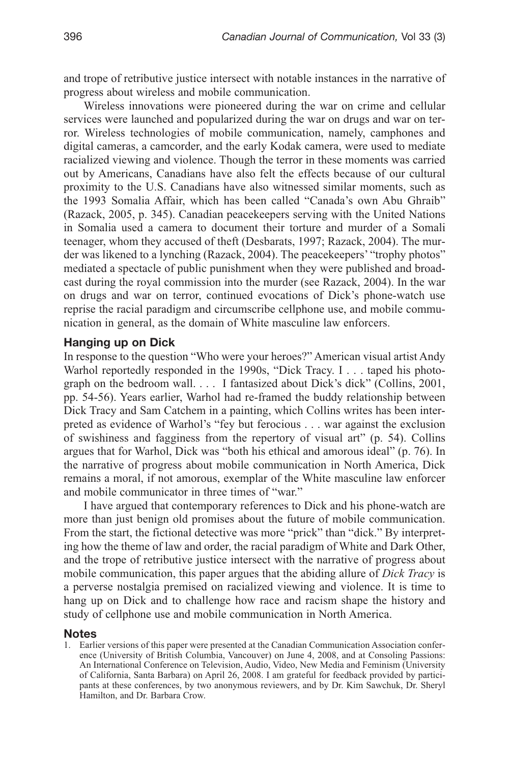and trope of retributive justice intersect with notable instances in the narrative of progress about wireless and mobile communication.

Wireless innovations were pioneered during the war on crime and cellular services were launched and popularized during the war on drugs and war on terror. Wireless technologies of mobile communication, namely, camphones and digital cameras, a camcorder, and the early Kodak camera, were used to mediate racialized viewing and violence. Though the terror in these moments was carried out by Americans, Canadians have also felt the effects because of our cultural proximity to the U.S. Canadians have also witnessed similar moments, such as the 1993 Somalia Affair, which has been called "Canada's own Abu Ghraib" (Razack, 2005, p. 345). Canadian peacekeepers serving with the United Nations in Somalia used a camera to document their torture and murder of a Somali teenager, whom they accused of theft (Desbarats, 1997; Razack, 2004). The murder was likened to a lynching (Razack, 2004). The peacekeepers' "trophy photos" mediated a spectacle of public punishment when they were published and broadcast during the royal commission into the murder (see Razack, 2004). In the war on drugs and war on terror, continued evocations of Dick's phone-watch use reprise the racial paradigm and circumscribe cellphone use, and mobile communication in general, as the domain of White masculine law enforcers.

#### **Hanging up on Dick**

In response to the question "Who were your heroes?" American visual artist Andy Warhol reportedly responded in the 1990s, "Dick Tracy. I . . . taped his photograph on the bedroom wall. . . . I fantasized about Dick's dick" (Collins, 2001, pp. 54-56). Years earlier, Warhol had re-framed the buddy relationship between Dick Tracy and Sam Catchem in a painting, which Collins writes has been interpreted as evidence of Warhol's "fey but ferocious . . . war against the exclusion of swishiness and fagginess from the repertory of visual art" (p. 54). Collins argues that for Warhol, Dick was "both his ethical and amorous ideal" (p. 76). In the narrative of progress about mobile communication in North America, Dick remains a moral, if not amorous, exemplar of the White masculine law enforcer and mobile communicator in three times of "war."

I have argued that contemporary references to Dick and his phone-watch are more than just benign old promises about the future of mobile communication. From the start, the fictional detective was more "prick" than "dick." By interpreting how the theme of law and order, the racial paradigm of White and Dark Other, and the trope of retributive justice intersect with the narrative of progress about mobile communication, this paper argues that the abiding allure of *Dick Tracy* is a perverse nostalgia premised on racialized viewing and violence. It is time to hang up on Dick and to challenge how race and racism shape the history and study of cellphone use and mobile communication in North America.

#### **Notes**

1. Earlier versions of this paper were presented at the Canadian Communication Association conference (University of British Columbia, Vancouver) on June 4, 2008, and at Consoling Passions: An International Conference on Television, Audio, Video, New Media and Feminism (University of California, Santa Barbara) on April 26, 2008. I am grateful for feedback provided by participants at these conferences, by two anonymous reviewers, and by Dr. Kim Sawchuk, Dr. Sheryl Hamilton, and Dr. Barbara Crow.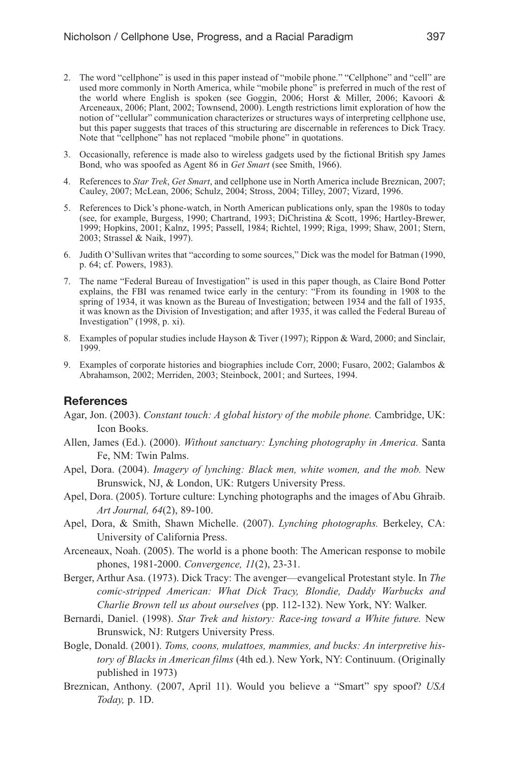- 2. The word "cellphone" is used in this paper instead of "mobile phone." "Cellphone" and "cell" are used more commonly in North America, while "mobile phone" is preferred in much of the rest of the world where English is spoken (see Goggin, 2006; Horst & Miller, 2006; Kavoori & Arceneaux, 2006; Plant, 2002; Townsend, 2000). Length restrictions limit exploration of how the notion of "cellular" communication characterizes or structures ways of interpreting cellphone use, but this paper suggests that traces of this structuring are discernable in references to Dick Tracy. Note that "cellphone" has not replaced "mobile phone" in quotations.
- 3. Occasionally, reference is made also to wireless gadgets used by the fictional British spy James Bond, who was spoofed as Agent 86 in *Get Smart* (see Smith, 1966).
- 4. References to *Star Trek*, *Get Smart*, and cellphone use in North America include Breznican, 2007; Cauley, 2007; McLean, 2006; Schulz, 2004; Stross, 2004; Tilley, 2007; Vizard, 1996.
- 5. References to Dick's phone-watch, in North American publications only, span the 1980s to today (see, for example, Burgess, 1990; Chartrand, 1993; DiChristina & Scott, 1996; Hartley-Brewer, 1999; Hopkins, 2001; Kalnz, 1995; Passell, 1984; Richtel, 1999; Riga, 1999; Shaw, 2001; Stern, 2003; Strassel & Naik, 1997).
- 6. Judith O'Sullivan writes that "according to some sources," Dick was the model for Batman (1990, p. 64; cf. Powers, 1983).
- 7. The name "Federal Bureau of Investigation" is used in this paper though, as Claire Bond Potter explains, the FBI was renamed twice early in the century: "From its founding in 1908 to the spring of 1934, it was known as the Bureau of Investigation; between 1934 and the fall of 1935, it was known as the Division of Investigation; and after 1935, it was called the Federal Bureau of Investigation" (1998, p. xi).
- 8. Examples of popular studies include Hayson & Tiver (1997); Rippon & Ward, 2000; and Sinclair, 1999.
- 9. Examples of corporate histories and biographies include Corr, 2000; Fusaro, 2002; Galambos & Abrahamson, 2002; Merriden, 2003; Steinbock, 2001; and Surtees, 1994.

#### **References**

- Agar, Jon. (2003). *Constant touch: A global history of the mobile phone.* Cambridge, UK: Icon Books.
- Allen, James (Ed.). (2000). *Without sanctuary: Lynching photography in America.* Santa Fe, NM: Twin Palms.
- Apel, Dora. (2004). *Imagery of lynching: Black men, white women, and the mob.* New Brunswick, NJ, & London, UK: Rutgers University Press.
- Apel, Dora. (2005). Torture culture: Lynching photographs and the images of Abu Ghraib. *Art Journal, 64*(2), 89-100.
- Apel, Dora, & Smith, Shawn Michelle. (2007). *Lynching photographs.* Berkeley, CA: University of California Press.
- Arceneaux, Noah. (2005). The world is a phone booth: The American response to mobile phones, 1981-2000. *Convergence, 11*(2), 23-31.
- Berger, Arthur Asa. (1973). Dick Tracy: The avenger—evangelical Protestant style. In *The comic-stripped American: What Dick Tracy, Blondie, Daddy Warbucks and Charlie Brown tell us about ourselves* (pp. 112-132). New York, NY: Walker.
- Bernardi, Daniel. (1998). *Star Trek and history: Race-ing toward a White future.* New Brunswick, NJ: Rutgers University Press.
- Bogle, Donald. (2001). *Toms, coons, mulattoes, mammies, and bucks: An interpretive history of Blacks in American films* (4th ed.). New York, NY: Continuum. (Originally published in 1973)
- Breznican, Anthony. (2007, April 11). Would you believe a "Smart" spy spoof? *USA Today,* p. 1D.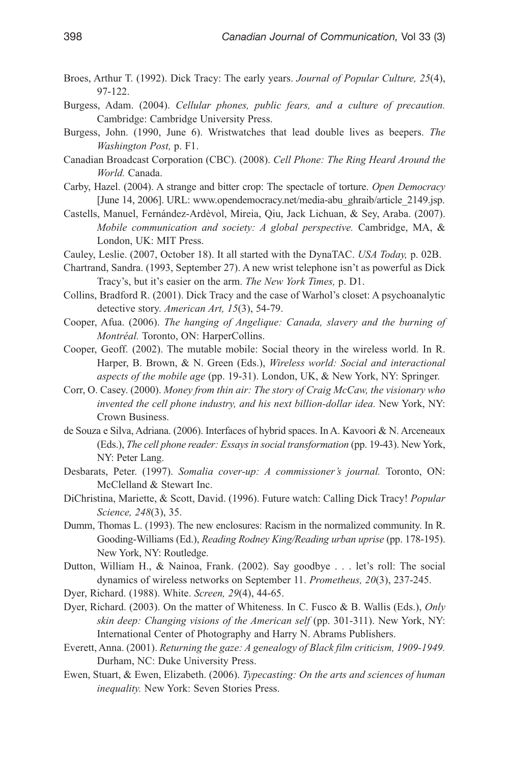- Broes, Arthur T. (1992). Dick Tracy: The early years. *Journal of Popular Culture, 25*(4), 97-122.
- Burgess, Adam. (2004). *Cellular phones, public fears, and a culture of precaution.* Cambridge: Cambridge University Press.
- Burgess, John. (1990, June 6). Wristwatches that lead double lives as beepers. *The Washington Post,* p. F1.
- Canadian Broadcast Corporation (CBC). (2008). *Cell Phone: The Ring Heard Around the World.* Canada.
- Carby, Hazel. (2004). A strange and bitter crop: The spectacle of torture. *Open Democracy* [June 14, 2006]. URL: www.opendemocracy.net/media-abu\_ghraib/article\_2149.jsp.
- Castells, Manuel, Fernández-Ardèvol, Mireia, Qiu, Jack Lichuan, & Sey, Araba. (2007). *Mobile communication and society: A global perspective.* Cambridge, MA, & London, UK: MIT Press.
- Cauley, Leslie. (2007, October 18). It all started with the DynaTAC. *USA Today,* p. 02B.
- Chartrand, Sandra. (1993, September 27). A new wrist telephone isn't as powerful as Dick Tracy's, but it's easier on the arm. *The New York Times,* p. D1.
- Collins, Bradford R. (2001). Dick Tracy and the case of Warhol's closet: A psychoanalytic detective story. *American Art, 15*(3), 54-79.
- Cooper, Afua. (2006). *The hanging of Angelique: Canada, slavery and the burning of Montréal.* Toronto, ON: HarperCollins.
- Cooper, Geoff. (2002). The mutable mobile: Social theory in the wireless world. In R. Harper, B. Brown, & N. Green (Eds.), *Wireless world: Social and interactional aspects of the mobile age* (pp. 19-31). London, UK, & New York, NY: Springer.
- Corr, O. Casey. (2000). *Money from thin air: The story of Craig McCaw, the visionary who invented the cell phone industry, and his next billion-dollar idea.* New York, NY: Crown Business.
- de Souza e Silva, Adriana. (2006). Interfaces of hybrid spaces. In A. Kavoori & N. Arceneaux (Eds.), *The cell phone reader: Essays in social transformation* (pp. 19-43). New York, NY: Peter Lang.
- Desbarats, Peter. (1997). *Somalia cover-up: A commissioner's journal.* Toronto, ON: McClelland & Stewart Inc.
- DiChristina, Mariette, & Scott, David. (1996). Future watch: Calling Dick Tracy! *Popular Science, 248*(3), 35.
- Dumm, Thomas L. (1993). The new enclosures: Racism in the normalized community. In R. Gooding-Williams (Ed.), *Reading Rodney King/Reading urban uprise* (pp. 178-195). New York, NY: Routledge.
- Dutton, William H., & Nainoa, Frank. (2002). Say goodbye . . . let's roll: The social dynamics of wireless networks on September 11. *Prometheus, 20*(3), 237-245.
- Dyer, Richard. (1988). White. *Screen, 29*(4), 44-65.
- Dyer, Richard. (2003). On the matter of Whiteness. In C. Fusco & B. Wallis (Eds.), *Only skin deep: Changing visions of the American self (pp. 301-311). New York, NY:* International Center of Photography and Harry N. Abrams Publishers.
- Everett, Anna. (2001). *Returning the gaze: A genealogy of Black film criticism, 1909-1949.* Durham, NC: Duke University Press.
- Ewen, Stuart, & Ewen, Elizabeth. (2006). *Typecasting: On the arts and sciences of human inequality.* New York: Seven Stories Press.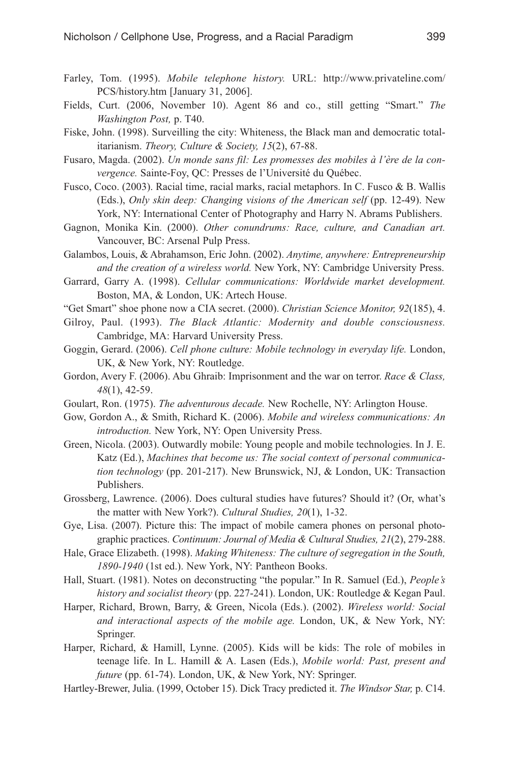- Farley, Tom. (1995). *Mobile telephone history.* URL: http://www.privateline.com/ PCS/history.htm [January 31, 2006].
- Fields, Curt. (2006, November 10). Agent 86 and co., still getting "Smart." *The Washington Post,* p. T40.
- Fiske, John. (1998). Surveilling the city: Whiteness, the Black man and democratic totalitarianism. *Theory, Culture & Society, 15*(2), 67-88.
- Fusaro, Magda. (2002). *Un monde sans fil: Les promesses des mobiles à l'ère de la convergence.* Sainte-Foy, QC: Presses de l'Université du Québec.
- Fusco, Coco. (2003). Racial time, racial marks, racial metaphors. In C. Fusco & B. Wallis (Eds.), *Only skin deep: Changing visions of the American self* (pp. 12-49). New York, NY: International Center of Photography and Harry N. Abrams Publishers.
- Gagnon, Monika Kin. (2000). *Other conundrums: Race, culture, and Canadian art.* Vancouver, BC: Arsenal Pulp Press.
- Galambos, Louis, & Abrahamson, Eric John. (2002). *Anytime, anywhere: Entrepreneurship and the creation of a wireless world.* New York, NY: Cambridge University Press.
- Garrard, Garry A. (1998). *Cellular communications: Worldwide market development.* Boston, MA, & London, UK: Artech House.
- "Get Smart" shoe phone now a CIA secret. (2000). *Christian Science Monitor, 92*(185), 4.
- Gilroy, Paul. (1993). *The Black Atlantic: Modernity and double consciousness.* Cambridge, MA: Harvard University Press.
- Goggin, Gerard. (2006). *Cell phone culture: Mobile technology in everyday life.* London, UK, & New York, NY: Routledge.
- Gordon, Avery F. (2006). Abu Ghraib: Imprisonment and the war on terror. *Race & Class, 48*(1), 42-59.
- Goulart, Ron. (1975). *The adventurous decade.* New Rochelle, NY: Arlington House.
- Gow, Gordon A., & Smith, Richard K. (2006). *Mobile and wireless communications: An introduction.* New York, NY: Open University Press.
- Green, Nicola. (2003). Outwardly mobile: Young people and mobile technologies. In J. E. Katz (Ed.), *Machines that become us: The social context of personal communication technology* (pp. 201-217). New Brunswick, NJ, & London, UK: Transaction Publishers.
- Grossberg, Lawrence. (2006). Does cultural studies have futures? Should it? (Or, what's the matter with New York?). *Cultural Studies, 20*(1), 1-32.
- Gye, Lisa. (2007). Picture this: The impact of mobile camera phones on personal photographic practices. *Continuum: Journal of Media & Cultural Studies, 21*(2), 279-288.
- Hale, Grace Elizabeth. (1998). *Making Whiteness: The culture of segregation in the South, 1890-1940* (1st ed.). New York, NY: Pantheon Books.
- Hall, Stuart. (1981). Notes on deconstructing "the popular." In R. Samuel (Ed.), *People's history and socialist theory* (pp. 227-241). London, UK: Routledge & Kegan Paul.
- Harper, Richard, Brown, Barry, & Green, Nicola (Eds.). (2002). *Wireless world: Social and interactional aspects of the mobile age.* London, UK, & New York, NY: Springer.
- Harper, Richard, & Hamill, Lynne. (2005). Kids will be kids: The role of mobiles in teenage life. In L. Hamill & A. Lasen (Eds.), *Mobile world: Past, present and future* (pp. 61-74). London, UK, & New York, NY: Springer.
- Hartley-Brewer, Julia. (1999, October 15). Dick Tracy predicted it. *The Windsor Star,* p. C14.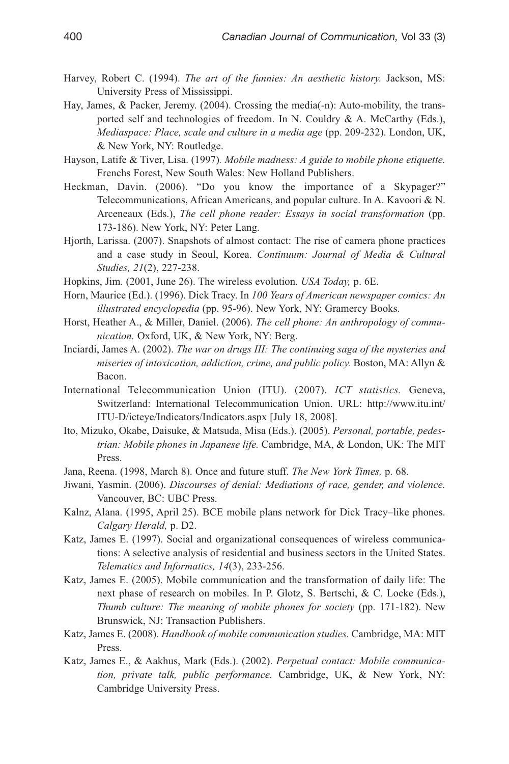- Harvey, Robert C. (1994). *The art of the funnies: An aesthetic history.* Jackson, MS: University Press of Mississippi.
- Hay, James, & Packer, Jeremy. (2004). Crossing the media(-n): Auto-mobility, the transported self and technologies of freedom. In N. Couldry & A. McCarthy (Eds.), *Mediaspace: Place, scale and culture in a media age* (pp. 209-232). London, UK, & New York, NY: Routledge.
- Hayson, Latife & Tiver, Lisa. (1997)*. Mobile madness: A guide to mobile phone etiquette.* Frenchs Forest, New South Wales: New Holland Publishers.
- Heckman, Davin. (2006). "Do you know the importance of a Skypager?" Telecommunications, African Americans, and popular culture. In A. Kavoori & N. Arceneaux (Eds.), *The cell phone reader: Essays in social transformation* (pp. 173-186). New York, NY: Peter Lang.
- Hjorth, Larissa. (2007). Snapshots of almost contact: The rise of camera phone practices and a case study in Seoul, Korea. *Continuum: Journal of Media & Cultural Studies, 21*(2), 227-238.
- Hopkins, Jim. (2001, June 26). The wireless evolution. *USA Today,* p. 6E.
- Horn, Maurice (Ed.). (1996). Dick Tracy. In *100 Years of American newspaper comics: An illustrated encyclopedia* (pp. 95-96). New York, NY: Gramercy Books.
- Horst, Heather A., & Miller, Daniel. (2006). *The cell phone: An anthropology of communication.* Oxford, UK, & New York, NY: Berg.
- Inciardi, James A. (2002). *The war on drugs III: The continuing saga of the mysteries and miseries of intoxication, addiction, crime, and public policy.* Boston, MA: Allyn & Bacon.
- International Telecommunication Union (ITU). (2007). *ICT statistics.* Geneva, Switzerland: International Telecommunication Union. URL: http://www.itu.int/ ITU-D/icteye/Indicators/Indicators.aspx [July 18, 2008].
- Ito, Mizuko, Okabe, Daisuke, & Matsuda, Misa (Eds.). (2005). *Personal, portable, pedestrian: Mobile phones in Japanese life.* Cambridge, MA, & London, UK: The MIT Press.
- Jana, Reena. (1998, March 8). Once and future stuff. *The New York Times,* p. 68.
- Jiwani, Yasmin. (2006). *Discourses of denial: Mediations of race, gender, and violence.* Vancouver, BC: UBC Press.
- Kalnz, Alana. (1995, April 25). BCE mobile plans network for Dick Tracy–like phones. *Calgary Herald,* p. D2.
- Katz, James E. (1997). Social and organizational consequences of wireless communications: A selective analysis of residential and business sectors in the United States. *Telematics and Informatics, 14*(3), 233-256.
- Katz, James E. (2005). Mobile communication and the transformation of daily life: The next phase of research on mobiles. In P. Glotz, S. Bertschi, & C. Locke (Eds.), *Thumb culture: The meaning of mobile phones for society (pp. 171-182). New* Brunswick, NJ: Transaction Publishers.
- Katz, James E. (2008). *Handbook of mobile communication studies.* Cambridge, MA: MIT Press.
- Katz, James E., & Aakhus, Mark (Eds.). (2002). *Perpetual contact: Mobile communication, private talk, public performance.* Cambridge, UK, & New York, NY: Cambridge University Press.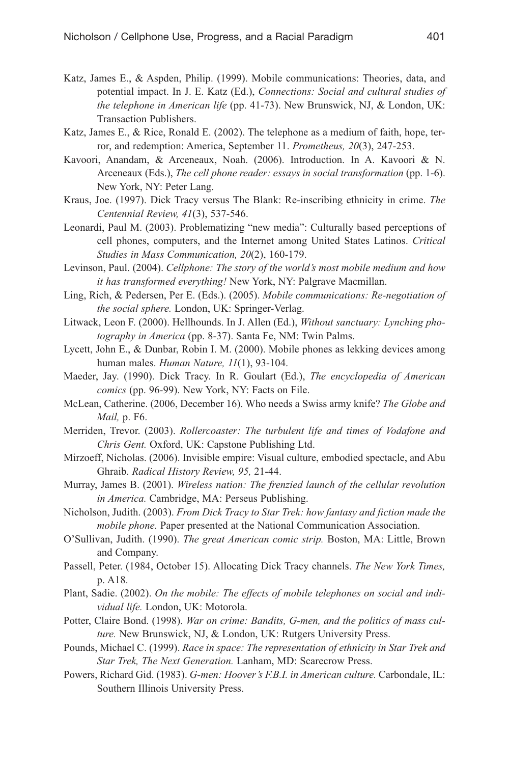- Katz, James E., & Aspden, Philip. (1999). Mobile communications: Theories, data, and potential impact. In J. E. Katz (Ed.), *Connections: Social and cultural studies of the telephone in American life* (pp. 41-73). New Brunswick, NJ, & London, UK: Transaction Publishers.
- Katz, James E., & Rice, Ronald E. (2002). The telephone as a medium of faith, hope, terror, and redemption: America, September 11. *Prometheus, 20*(3), 247-253.
- Kavoori, Anandam, & Arceneaux, Noah. (2006). Introduction. In A. Kavoori & N. Arceneaux (Eds.), *The cell phone reader: essays in social transformation* (pp. 1-6). New York, NY: Peter Lang.
- Kraus, Joe. (1997). Dick Tracy versus The Blank: Re-inscribing ethnicity in crime. *The Centennial Review, 41*(3), 537-546.
- Leonardi, Paul M. (2003). Problematizing "new media": Culturally based perceptions of cell phones, computers, and the Internet among United States Latinos. *Critical Studies in Mass Communication, 20*(2), 160-179.
- Levinson, Paul. (2004). *Cellphone: The story of the world's most mobile medium and how it has transformed everything!* New York, NY: Palgrave Macmillan.
- Ling, Rich, & Pedersen, Per E. (Eds.). (2005). *Mobile communications: Re-negotiation of the social sphere.* London, UK: Springer-Verlag.
- Litwack, Leon F. (2000). Hellhounds. In J. Allen (Ed.), *Without sanctuary: Lynching photography in America* (pp. 8-37). Santa Fe, NM: Twin Palms.
- Lycett, John E., & Dunbar, Robin I. M. (2000). Mobile phones as lekking devices among human males. *Human Nature, 11*(1), 93-104.
- Maeder, Jay. (1990). Dick Tracy. In R. Goulart (Ed.), *The encyclopedia of American comics* (pp. 96-99). New York, NY: Facts on File.
- McLean, Catherine. (2006, December 16). Who needs a Swiss army knife? *The Globe and Mail,* p. F6.
- Merriden, Trevor. (2003). *Rollercoaster: The turbulent life and times of Vodafone and Chris Gent.* Oxford, UK: Capstone Publishing Ltd.
- Mirzoeff, Nicholas. (2006). Invisible empire: Visual culture, embodied spectacle, and Abu Ghraib. *Radical History Review, 95,* 21-44.
- Murray, James B. (2001). *Wireless nation: The frenzied launch of the cellular revolution in America.* Cambridge, MA: Perseus Publishing.
- Nicholson, Judith. (2003). *From Dick Tracy to Star Trek: how fantasy and fiction made the mobile phone.* Paper presented at the National Communication Association.
- O'Sullivan, Judith. (1990). *The great American comic strip.* Boston, MA: Little, Brown and Company.
- Passell, Peter. (1984, October 15). Allocating Dick Tracy channels. *The New York Times,* p. A18.
- Plant, Sadie. (2002). *On the mobile: The effects of mobile telephones on social and individual life.* London, UK: Motorola.
- Potter, Claire Bond. (1998). *War on crime: Bandits, G-men, and the politics of mass culture.* New Brunswick, NJ, & London, UK: Rutgers University Press.
- Pounds, Michael C. (1999). *Race in space: The representation of ethnicity in Star Trek and Star Trek, The Next Generation.* Lanham, MD: Scarecrow Press.
- Powers, Richard Gid. (1983). *G-men: Hoover's F.B.I. in American culture.* Carbondale, IL: Southern Illinois University Press.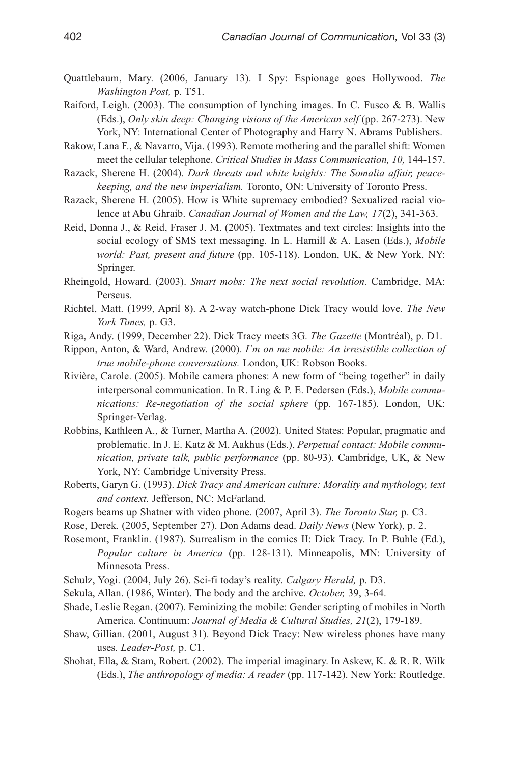- Quattlebaum, Mary. (2006, January 13). I Spy: Espionage goes Hollywood. *The Washington Post,* p. T51.
- Raiford, Leigh. (2003). The consumption of lynching images. In C. Fusco  $\&$  B. Wallis (Eds.), *Only skin deep: Changing visions of the American self* (pp. 267-273). New York, NY: International Center of Photography and Harry N. Abrams Publishers.
- Rakow, Lana F., & Navarro, Vija. (1993). Remote mothering and the parallel shift: Women meet the cellular telephone. *Critical Studies in Mass Communication, 10,* 144-157.
- Razack, Sherene H. (2004). *Dark threats and white knights: The Somalia affair, peacekeeping, and the new imperialism.* Toronto, ON: University of Toronto Press.
- Razack, Sherene H. (2005). How is White supremacy embodied? Sexualized racial violence at Abu Ghraib. *Canadian Journal of Women and the Law, 17*(2), 341-363.
- Reid, Donna J., & Reid, Fraser J. M. (2005). Textmates and text circles: Insights into the social ecology of SMS text messaging. In L. Hamill & A. Lasen (Eds.), *Mobile world: Past, present and future* (pp. 105-118). London, UK, & New York, NY: Springer.
- Rheingold, Howard. (2003). *Smart mobs: The next social revolution.* Cambridge, MA: Perseus.
- Richtel, Matt. (1999, April 8). A 2-way watch-phone Dick Tracy would love. *The New York Times,* p. G3.
- Riga, Andy. (1999, December 22). Dick Tracy meets 3G. *The Gazette* (Montréal), p. D1.
- Rippon, Anton, & Ward, Andrew. (2000). *I'm on me mobile: An irresistible collection of true mobile-phone conversations.* London, UK: Robson Books.
- Rivière, Carole. (2005). Mobile camera phones: A new form of "being together" in daily interpersonal communication. In R. Ling & P. E. Pedersen (Eds.), *Mobile communications: Re-negotiation of the social sphere* (pp. 167-185). London, UK: Springer-Verlag.
- Robbins, Kathleen A., & Turner, Martha A. (2002). United States: Popular, pragmatic and problematic. In J. E. Katz & M. Aakhus (Eds.), *Perpetual contact: Mobile communication, private talk, public performance* (pp. 80-93). Cambridge, UK, & New York, NY: Cambridge University Press.
- Roberts, Garyn G. (1993). *Dick Tracy and American culture: Morality and mythology, text and context.* Jefferson, NC: McFarland.
- Rogers beams up Shatner with video phone. (2007, April 3). *The Toronto Star,* p. C3.
- Rose, Derek. (2005, September 27). Don Adams dead. *Daily News* (New York), p. 2.
- Rosemont, Franklin. (1987). Surrealism in the comics II: Dick Tracy. In P. Buhle (Ed.), *Popular culture in America* (pp. 128-131). Minneapolis, MN: University of Minnesota Press.
- Schulz, Yogi. (2004, July 26). Sci-fi today's reality. *Calgary Herald,* p. D3.
- Sekula, Allan. (1986, Winter). The body and the archive. *October,* 39, 3-64.
- Shade, Leslie Regan. (2007). Feminizing the mobile: Gender scripting of mobiles in North America. Continuum: *Journal of Media & Cultural Studies, 21*(2), 179-189.
- Shaw, Gillian. (2001, August 31). Beyond Dick Tracy: New wireless phones have many uses. *Leader-Post,* p. C1.
- Shohat, Ella, & Stam, Robert. (2002). The imperial imaginary. In Askew, K. & R. R. Wilk (Eds.), *The anthropology of media: A reader* (pp. 117-142). New York: Routledge.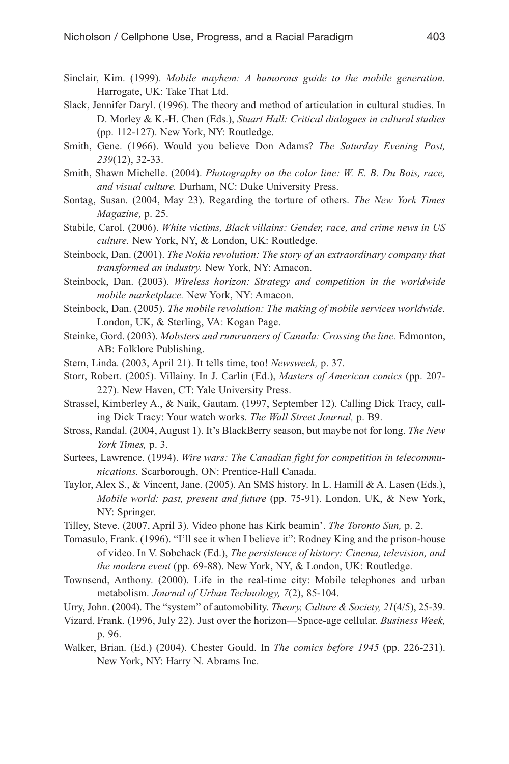- Sinclair, Kim. (1999). *Mobile mayhem: A humorous guide to the mobile generation.* Harrogate, UK: Take That Ltd.
- Slack, Jennifer Daryl. (1996). The theory and method of articulation in cultural studies. In D. Morley & K.-H. Chen (Eds.), *Stuart Hall: Critical dialogues in cultural studies* (pp. 112-127). New York, NY: Routledge.
- Smith, Gene. (1966). Would you believe Don Adams? *The Saturday Evening Post, 239*(12), 32-33.
- Smith, Shawn Michelle. (2004). *Photography on the color line: W. E. B. Du Bois, race, and visual culture.* Durham, NC: Duke University Press.
- Sontag, Susan. (2004, May 23). Regarding the torture of others. *The New York Times Magazine,* p. 25.
- Stabile, Carol. (2006). *White victims, Black villains: Gender, race, and crime news in US culture.* New York, NY, & London, UK: Routledge.
- Steinbock, Dan. (2001). *The Nokia revolution: The story of an extraordinary company that transformed an industry.* New York, NY: Amacon.
- Steinbock, Dan. (2003). *Wireless horizon: Strategy and competition in the worldwide mobile marketplace.* New York, NY: Amacon.
- Steinbock, Dan. (2005). *The mobile revolution: The making of mobile services worldwide.* London, UK, & Sterling, VA: Kogan Page.
- Steinke, Gord. (2003). *Mobsters and rumrunners of Canada: Crossing the line.* Edmonton, AB: Folklore Publishing.
- Stern, Linda. (2003, April 21). It tells time, too! *Newsweek,* p. 37.
- Storr, Robert. (2005). Villainy. In J. Carlin (Ed.), *Masters of American comics* (pp. 207- 227). New Haven, CT: Yale University Press.
- Strassel, Kimberley A., & Naik, Gautam. (1997, September 12). Calling Dick Tracy, calling Dick Tracy: Your watch works. *The Wall Street Journal,* p. B9.
- Stross, Randal. (2004, August 1). It's BlackBerry season, but maybe not for long. *The New York Times,* p. 3.
- Surtees, Lawrence. (1994). *Wire wars: The Canadian fight for competition in telecommunications.* Scarborough, ON: Prentice-Hall Canada.
- Taylor, Alex S., & Vincent, Jane. (2005). An SMS history. In L. Hamill & A. Lasen (Eds.), *Mobile world: past, present and future* (pp. 75-91). London, UK, & New York, NY: Springer.
- Tilley, Steve. (2007, April 3). Video phone has Kirk beamin'. *The Toronto Sun,* p. 2.
- Tomasulo, Frank. (1996). "I'll see it when I believe it": Rodney King and the prison-house of video. In V. Sobchack (Ed.), *The persistence of history: Cinema, television, and the modern event* (pp. 69-88). New York, NY, & London, UK: Routledge.
- Townsend, Anthony. (2000). Life in the real-time city: Mobile telephones and urban metabolism. *Journal of Urban Technology, 7*(2), 85-104.
- Urry, John. (2004). The "system" of automobility. *Theory, Culture & Society, 21*(4/5), 25-39.
- Vizard, Frank. (1996, July 22). Just over the horizon—Space-age cellular. *Business Week,* p. 96.
- Walker, Brian. (Ed.) (2004). Chester Gould. In *The comics before 1945* (pp. 226-231). New York, NY: Harry N. Abrams Inc.